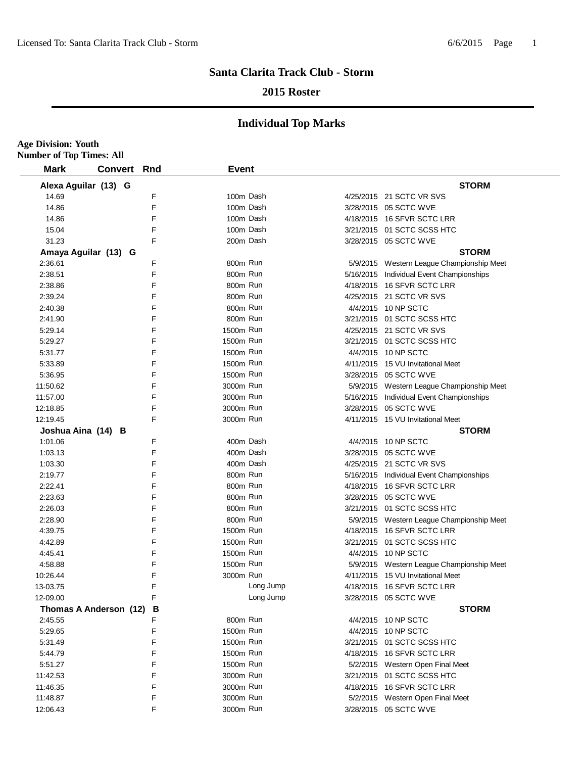**Age Division: Youth**

#### **Santa Clarita Track Club - Storm**

#### **2015 Roster**

| <b>Mark</b>            | <b>Convert Rnd</b> | <b>Event</b> |                                           |
|------------------------|--------------------|--------------|-------------------------------------------|
|                        |                    |              |                                           |
| Alexa Aguilar (13) G   |                    |              | <b>STORM</b>                              |
| 14.69                  | F                  | 100m Dash    | 4/25/2015 21 SCTC VR SVS                  |
| 14.86                  | F                  | 100m Dash    | 3/28/2015 05 SCTC WVE                     |
| 14.86                  | F                  | 100m Dash    | 4/18/2015 16 SFVR SCTC LRR                |
| 15.04                  | F                  | 100m Dash    | 3/21/2015 01 SCTC SCSS HTC                |
| 31.23                  | F                  | 200m Dash    | 3/28/2015 05 SCTC WVE                     |
| Amaya Aguilar (13) G   |                    |              | <b>STORM</b>                              |
| 2:36.61                | F                  | 800m Run     | 5/9/2015 Western League Championship Meet |
| 2:38.51                | F                  | 800m Run     | 5/16/2015 Individual Event Championships  |
| 2:38.86                | F                  | 800m Run     | 4/18/2015 16 SFVR SCTC LRR                |
| 2:39.24                | F                  | 800m Run     | 4/25/2015 21 SCTC VR SVS                  |
| 2:40.38                | F                  | 800m Run     | 4/4/2015 10 NP SCTC                       |
| 2:41.90                | F                  | 800m Run     | 3/21/2015 01 SCTC SCSS HTC                |
| 5:29.14                | F                  | 1500m Run    | 4/25/2015 21 SCTC VR SVS                  |
| 5:29.27                | F                  | 1500m Run    | 3/21/2015 01 SCTC SCSS HTC                |
| 5:31.77                | F                  | 1500m Run    | 4/4/2015 10 NP SCTC                       |
| 5:33.89                | F                  | 1500m Run    | 4/11/2015 15 VU Invitational Meet         |
| 5:36.95                | F                  | 1500m Run    | 3/28/2015 05 SCTC WVE                     |
| 11:50.62               | F                  | 3000m Run    | 5/9/2015 Western League Championship Meet |
| 11:57.00               | F                  | 3000m Run    | 5/16/2015 Individual Event Championships  |
| 12:18.85               | F                  | 3000m Run    | 3/28/2015 05 SCTC WVE                     |
| 12:19.45               | F                  | 3000m Run    | 4/11/2015 15 VU Invitational Meet         |
| Joshua Aina (14) B     |                    |              | <b>STORM</b>                              |
| 1:01.06                | F                  | 400m Dash    | 4/4/2015 10 NP SCTC                       |
| 1:03.13                | F                  | 400m Dash    | 3/28/2015 05 SCTC WVE                     |
| 1:03.30                | F                  | 400m Dash    | 4/25/2015 21 SCTC VR SVS                  |
| 2:19.77                | F                  | 800m Run     | 5/16/2015 Individual Event Championships  |
| 2:22.41                | F                  | 800m Run     | 4/18/2015 16 SFVR SCTC LRR                |
| 2:23.63                | F                  | 800m Run     | 3/28/2015 05 SCTC WVE                     |
| 2:26.03                | F                  | 800m Run     | 3/21/2015 01 SCTC SCSS HTC                |
| 2:28.90                | F                  | 800m Run     | 5/9/2015 Western League Championship Meet |
| 4:39.75                | F                  | 1500m Run    | 4/18/2015 16 SFVR SCTC LRR                |
| 4:42.89                | F                  | 1500m Run    | 3/21/2015 01 SCTC SCSS HTC                |
| 4:45.41                | F                  | 1500m Run    | 4/4/2015 10 NP SCTC                       |
| 4:58.88                | F                  | 1500m Run    | 5/9/2015 Western League Championship Meet |
| 10:26.44               | F                  | 3000m Run    | 4/11/2015 15 VU Invitational Meet         |
| 13-03.75               | F                  | Long Jump    | 4/18/2015 16 SFVR SCTC LRR                |
| 12-09.00               | F                  | Long Jump    | 3/28/2015 05 SCTC WVE                     |
| Thomas A Anderson (12) | В                  |              | <b>STORM</b>                              |
| 2:45.55                | F                  | 800m Run     | 4/4/2015 10 NP SCTC                       |
| 5:29.65                | F                  | 1500m Run    | 4/4/2015 10 NP SCTC                       |
| 5:31.49                | F                  | 1500m Run    | 3/21/2015 01 SCTC SCSS HTC                |
| 5:44.79                | F                  | 1500m Run    | 4/18/2015 16 SFVR SCTC LRR                |
| 5:51.27                | F                  | 1500m Run    | 5/2/2015 Western Open Final Meet          |
| 11:42.53               | F                  | 3000m Run    | 3/21/2015 01 SCTC SCSS HTC                |
| 11:46.35               | F                  | 3000m Run    | 4/18/2015 16 SFVR SCTC LRR                |
| 11:48.87               | F                  | 3000m Run    | 5/2/2015 Western Open Final Meet          |
| 12:06.43               | F                  | 3000m Run    | 3/28/2015 05 SCTC WVE                     |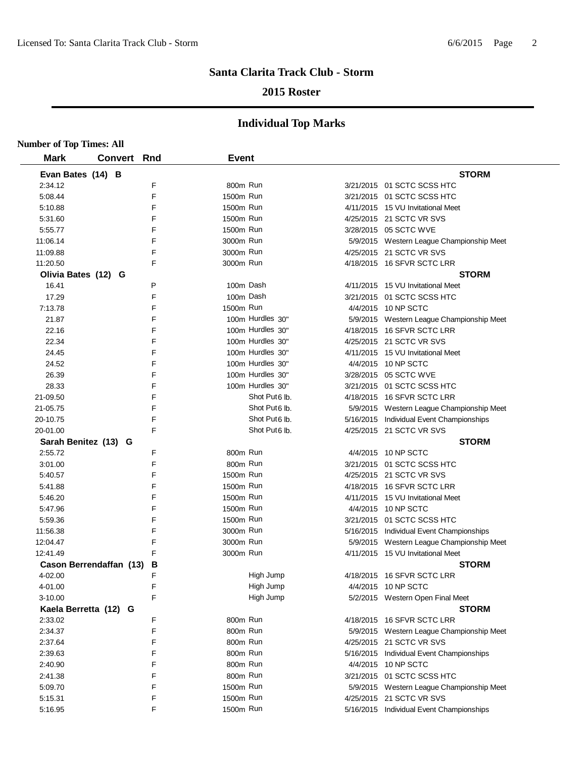### **2015 Roster**

| <b>Number of Top Times: All</b> |                    |   |              |                           |                                           |
|---------------------------------|--------------------|---|--------------|---------------------------|-------------------------------------------|
| <b>Mark</b>                     | <b>Convert Rnd</b> |   | <b>Event</b> |                           |                                           |
| Evan Bates (14) B               |                    |   |              |                           | <b>STORM</b>                              |
| 2:34.12                         |                    | F | 800m Run     |                           | 3/21/2015 01 SCTC SCSS HTC                |
| 5:08.44                         |                    | F | 1500m Run    |                           | 3/21/2015  01 SCTC SCSS HTC               |
| 5:10.88                         |                    | F | 1500m Run    |                           | 4/11/2015 15 VU Invitational Meet         |
| 5:31.60                         |                    | F | 1500m Run    |                           | 4/25/2015 21 SCTC VR SVS                  |
| 5:55.77                         |                    | F | 1500m Run    |                           | 3/28/2015 05 SCTC WVE                     |
| 11:06.14                        |                    | F | 3000m Run    |                           | 5/9/2015 Western League Championship Meet |
| 11:09.88                        |                    | F | 3000m Run    |                           | 4/25/2015 21 SCTC VR SVS                  |
| 11:20.50                        |                    | F | 3000m Run    |                           | 4/18/2015 16 SFVR SCTC LRR                |
| Olivia Bates (12) G             |                    |   |              |                           | <b>STORM</b>                              |
| 16.41                           |                    | P | 100m Dash    |                           | 4/11/2015 15 VU Invitational Meet         |
| 17.29                           |                    | F | 100m Dash    |                           | 3/21/2015  01 SCTC SCSS HTC               |
| 7:13.78                         |                    | F | 1500m Run    |                           | 4/4/2015 10 NP SCTC                       |
| 21.87                           |                    | F |              | 100m Hurdles 30"          | 5/9/2015 Western League Championship Meet |
| 22.16                           |                    | F |              | 100m Hurdles 30"          | 4/18/2015 16 SFVR SCTC LRR                |
| 22.34                           |                    | F |              | 100m Hurdles 30"          | 4/25/2015 21 SCTC VR SVS                  |
| 24.45                           |                    | F |              | 100m Hurdles 30"          | 4/11/2015 15 VU Invitational Meet         |
| 24.52                           |                    | F |              | 100m Hurdles 30"          | 4/4/2015 10 NP SCTC                       |
| 26.39                           |                    | F |              | 100m Hurdles 30"          | 3/28/2015 05 SCTC WVE                     |
| 28.33                           |                    | F |              | 100m Hurdles 30"          | 3/21/2015 01 SCTC SCSS HTC                |
| 21-09.50                        |                    | F |              | Shot Put <sub>6</sub> Ib. | 4/18/2015 16 SFVR SCTC LRR                |
| 21-05.75                        |                    | F |              | Shot Put <sub>6</sub> lb. | 5/9/2015 Western League Championship Meet |
| 20-10.75                        |                    | F |              | Shot Put <sub>6</sub> lb. | 5/16/2015 Individual Event Championships  |
| 20-01.00                        |                    | F |              | Shot Put <sub>6</sub> lb. | 4/25/2015 21 SCTC VR SVS                  |
| Sarah Benitez (13) G            |                    |   |              |                           | <b>STORM</b>                              |
| 2:55.72                         |                    | F | 800m Run     |                           | 4/4/2015 10 NP SCTC                       |
| 3:01.00                         |                    | F | 800m Run     |                           | 3/21/2015  01 SCTC SCSS HTC               |
| 5:40.57                         |                    | F | 1500m Run    |                           | 4/25/2015 21 SCTC VR SVS                  |
| 5:41.88                         |                    | F | 1500m Run    |                           | 4/18/2015 16 SFVR SCTC LRR                |
| 5:46.20                         |                    | F | 1500m Run    |                           | 4/11/2015 15 VU Invitational Meet         |
| 5:47.96                         |                    | F | 1500m Run    |                           | 4/4/2015 10 NP SCTC                       |
| 5:59.36                         |                    | F | 1500m Run    |                           | 3/21/2015 01 SCTC SCSS HTC                |
| 11:56.38                        |                    | F | 3000m Run    |                           | 5/16/2015 Individual Event Championships  |
| 12:04.47                        |                    | F | 3000m Run    |                           | 5/9/2015 Western League Championship Meet |
| 12:41.49                        |                    | F | 3000m Run    |                           | 4/11/2015 15 VU Invitational Meet         |
| Cason Berrendaffan (13)         |                    | В |              |                           | <b>STORM</b>                              |
| 4-02.00                         |                    | F |              | High Jump                 | 4/18/2015 16 SFVR SCTC LRR                |
| 4-01.00                         |                    | F |              | High Jump                 | 4/4/2015 10 NP SCTC                       |
| $3 - 10.00$                     |                    | F |              | High Jump                 | 5/2/2015 Western Open Final Meet          |
| Kaela Berretta (12) G           |                    |   |              |                           | <b>STORM</b>                              |
| 2:33.02                         |                    | F | 800m Run     |                           | 4/18/2015 16 SFVR SCTC LRR                |
| 2:34.37                         |                    | F | 800m Run     |                           | 5/9/2015 Western League Championship Meet |
| 2:37.64                         |                    | F | 800m Run     |                           | 4/25/2015 21 SCTC VR SVS                  |
| 2:39.63                         |                    | F | 800m Run     |                           | 5/16/2015 Individual Event Championships  |
| 2:40.90                         |                    | F | 800m Run     |                           | 4/4/2015 10 NP SCTC                       |
| 2:41.38                         |                    | F | 800m Run     |                           | 3/21/2015 01 SCTC SCSS HTC                |
| 5:09.70                         |                    | F | 1500m Run    |                           | 5/9/2015 Western League Championship Meet |
| 5:15.31                         |                    | F | 1500m Run    |                           | 4/25/2015 21 SCTC VR SVS                  |
| 5:16.95                         |                    | F | 1500m Run    |                           | 5/16/2015 Individual Event Championships  |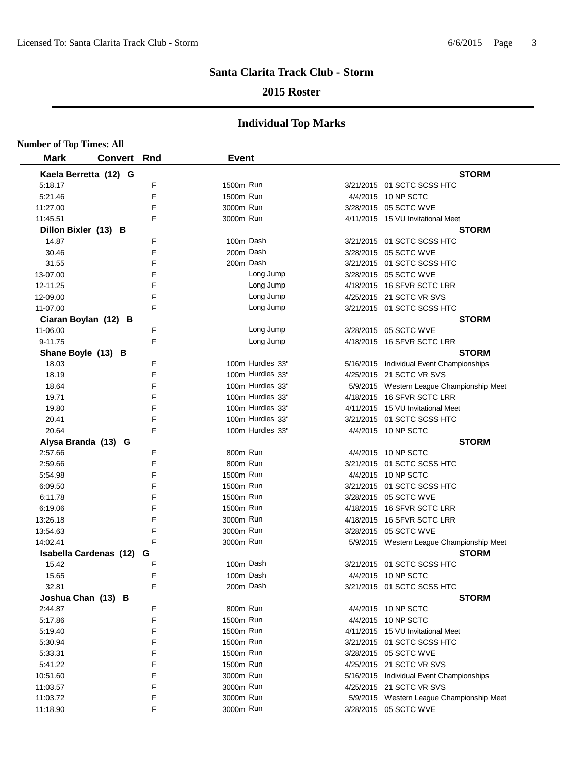### **2015 Roster**

| <b>Number of Top Times: All</b> |                               |   |              |                  |                                           |
|---------------------------------|-------------------------------|---|--------------|------------------|-------------------------------------------|
| <b>Mark</b>                     | <b>Convert Rnd</b>            |   | <b>Event</b> |                  |                                           |
|                                 | Kaela Berretta (12) G         |   |              |                  | <b>STORM</b>                              |
| 5:18.17                         |                               | F | 1500m Run    |                  | 3/21/2015 01 SCTC SCSS HTC                |
| 5:21.46                         |                               | F | 1500m Run    |                  | 4/4/2015 10 NP SCTC                       |
| 11:27.00                        |                               | F | 3000m Run    |                  | 3/28/2015 05 SCTC WVE                     |
| 11:45.51                        |                               | F | 3000m Run    |                  | 4/11/2015 15 VU Invitational Meet         |
| Dillon Bixler (13) B            |                               |   |              |                  | <b>STORM</b>                              |
| 14.87                           |                               | F | 100m Dash    |                  | 3/21/2015 01 SCTC SCSS HTC                |
| 30.46                           |                               | F | 200m Dash    |                  | 3/28/2015 05 SCTC WVE                     |
| 31.55                           |                               | F | 200m Dash    |                  | 3/21/2015 01 SCTC SCSS HTC                |
| 13-07.00                        |                               | F |              | Long Jump        | 3/28/2015 05 SCTC WVE                     |
| 12-11.25                        |                               | F |              | Long Jump        | 4/18/2015 16 SFVR SCTC LRR                |
| 12-09.00                        |                               | F |              | Long Jump        | 4/25/2015 21 SCTC VR SVS                  |
| 11-07.00                        |                               | F |              | Long Jump        | 3/21/2015 01 SCTC SCSS HTC                |
|                                 | Ciaran Boylan (12) B          |   |              |                  | <b>STORM</b>                              |
| 11-06.00                        |                               | F |              | Long Jump        | 3/28/2015 05 SCTC WVE                     |
| 9-11.75                         |                               | F |              | Long Jump        | 4/18/2015 16 SFVR SCTC LRR                |
| Shane Boyle (13) B              |                               |   |              |                  | <b>STORM</b>                              |
| 18.03                           |                               | F |              | 100m Hurdles 33" | 5/16/2015 Individual Event Championships  |
| 18.19                           |                               | F |              | 100m Hurdles 33" | 4/25/2015 21 SCTC VR SVS                  |
| 18.64                           |                               | F |              | 100m Hurdles 33" | 5/9/2015 Western League Championship Meet |
| 19.71                           |                               | F |              | 100m Hurdles 33" | 4/18/2015 16 SFVR SCTC LRR                |
| 19.80                           |                               | F |              | 100m Hurdles 33" | 4/11/2015 15 VU Invitational Meet         |
| 20.41                           |                               | F |              | 100m Hurdles 33" | 3/21/2015 01 SCTC SCSS HTC                |
| 20.64                           |                               | F |              | 100m Hurdles 33" | 4/4/2015 10 NP SCTC                       |
|                                 | Alysa Branda (13) G           |   |              |                  | <b>STORM</b>                              |
| 2:57.66                         |                               | F | 800m Run     |                  | 4/4/2015 10 NP SCTC                       |
| 2:59.66                         |                               | F | 800m Run     |                  | 3/21/2015 01 SCTC SCSS HTC                |
| 5:54.98                         |                               | F | 1500m Run    |                  | 4/4/2015 10 NP SCTC                       |
| 6:09.50                         |                               | F | 1500m Run    |                  | 3/21/2015 01 SCTC SCSS HTC                |
| 6:11.78                         |                               | F | 1500m Run    |                  | 3/28/2015 05 SCTC WVE                     |
| 6:19.06                         |                               | F | 1500m Run    |                  | 4/18/2015 16 SFVR SCTC LRR                |
| 13:26.18                        |                               | F | 3000m Run    |                  | 4/18/2015 16 SFVR SCTC LRR                |
| 13:54.63                        |                               | F | 3000m Run    |                  | 3/28/2015 05 SCTC WVE                     |
| 14:02.41                        |                               | F | 3000m Run    |                  | 5/9/2015 Western League Championship Meet |
|                                 | <b>Isabella Cardenas (12)</b> | G |              |                  | <b>STORM</b>                              |
| 15.42                           |                               | F | 100m Dash    |                  | 3/21/2015 01 SCTC SCSS HTC                |
| 15.65                           |                               | F | 100m Dash    |                  | 4/4/2015 10 NP SCTC                       |
| 32.81                           |                               | F |              | 200m Dash        | 3/21/2015 01 SCTC SCSS HTC                |
| Joshua Chan (13) B              |                               |   |              |                  | <b>STORM</b>                              |
| 2:44.87                         |                               | F | 800m Run     |                  | 4/4/2015 10 NP SCTC                       |
| 5:17.86                         |                               | F | 1500m Run    |                  | 4/4/2015 10 NP SCTC                       |
| 5:19.40                         |                               | F | 1500m Run    |                  | 4/11/2015 15 VU Invitational Meet         |
| 5:30.94                         |                               | F | 1500m Run    |                  | 3/21/2015 01 SCTC SCSS HTC                |
| 5:33.31                         |                               | F | 1500m Run    |                  | 3/28/2015 05 SCTC WVE                     |
| 5:41.22                         |                               | F | 1500m Run    |                  | 4/25/2015 21 SCTC VR SVS                  |
| 10:51.60                        |                               | F | 3000m Run    |                  | 5/16/2015 Individual Event Championships  |
| 11:03.57                        |                               | F | 3000m Run    |                  | 4/25/2015 21 SCTC VR SVS                  |
| 11:03.72                        |                               | F | 3000m Run    |                  | 5/9/2015 Western League Championship Meet |
| 11:18.90                        |                               | F | 3000m Run    |                  | 3/28/2015 05 SCTC WVE                     |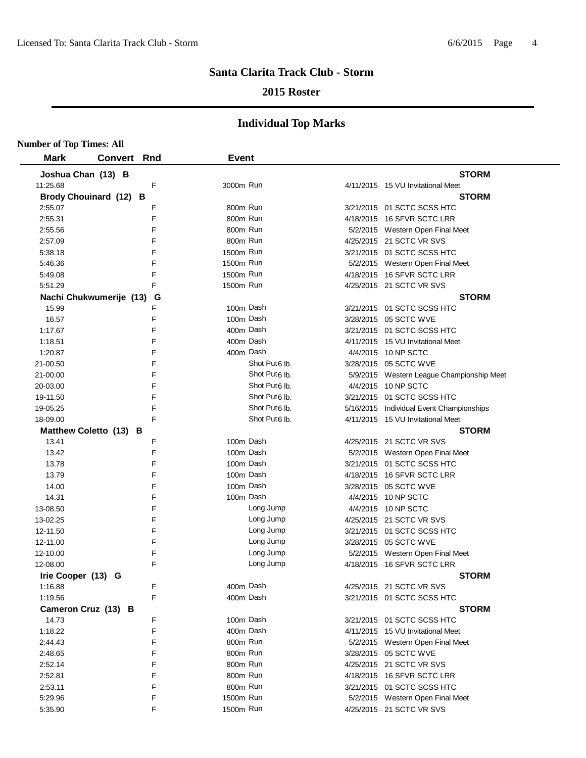### **2015 Roster**

| <b>Number of Top Times: All</b> |                |        |                        |                           |                                           |
|---------------------------------|----------------|--------|------------------------|---------------------------|-------------------------------------------|
| <b>Mark</b>                     | <b>Convert</b> | Rnd    | <b>Event</b>           |                           |                                           |
| Joshua Chan (13) B              |                |        |                        |                           | <b>STORM</b>                              |
| 11:25.68                        |                | F      | 3000m Run              |                           | 4/11/2015 15 VU Invitational Meet         |
| Brody Chouinard (12) B          |                |        |                        |                           | <b>STORM</b>                              |
| 2:55.07                         |                | F      | 800m Run               |                           | 3/21/2015 01 SCTC SCSS HTC                |
| 2:55.31                         |                | F      | 800m Run               |                           | 4/18/2015 16 SFVR SCTC LRR                |
| 2:55.56                         |                | F      | 800m Run               |                           | 5/2/2015 Western Open Final Meet          |
| 2:57.09                         |                | F      | 800m Run               |                           | 4/25/2015 21 SCTC VR SVS                  |
| 5:38.18                         |                | F      | 1500m Run              |                           | 3/21/2015 01 SCTC SCSS HTC                |
| 5:46.36                         |                | F      | 1500m Run              |                           | 5/2/2015 Western Open Final Meet          |
| 5:49.08                         |                | F      | 1500m Run              |                           | 4/18/2015 16 SFVR SCTC LRR                |
| 5:51.29                         |                | E      | 1500m Run              |                           | 4/25/2015 21 SCTC VR SVS                  |
| Nachi Chukwumerije (13)         |                | G      |                        |                           | <b>STORM</b>                              |
| 15.99                           |                | F      | 100m Dash              |                           | 3/21/2015 01 SCTC SCSS HTC                |
| 16.57                           |                | F      | 100m Dash              |                           | 3/28/2015 05 SCTC WVE                     |
| 1:17.67                         |                | F      | 400m Dash              |                           | 3/21/2015 01 SCTC SCSS HTC                |
| 1:18.51                         |                | F      | 400m Dash              |                           | 4/11/2015 15 VU Invitational Meet         |
| 1:20.87                         |                | F      |                        | 400m Dash                 | 4/4/2015 10 NP SCTC                       |
| 21-00.50                        |                | F      |                        | Shot Put6 lb.             | 3/28/2015 05 SCTC WVE                     |
| 21-00.00                        |                | F      |                        | Shot Put6 lb.             | 5/9/2015 Western League Championship Meet |
| 20-03.00                        |                | F      |                        | Shot Put <sub>6</sub> lb. | 4/4/2015 10 NP SCTC                       |
| 19-11.50                        |                | F      |                        | Shot Put6 lb.             | 3/21/2015 01 SCTC SCSS HTC                |
| 19-05.25                        |                | F      |                        | Shot Put <sub>6</sub> lb. | 5/16/2015 Individual Event Championships  |
| 18-09.00                        |                | F      |                        | Shot Put <sub>6</sub> lb. | 4/11/2015 15 VU Invitational Meet         |
| Matthew Coletto (13) B          |                |        |                        |                           | <b>STORM</b>                              |
| 13.41                           |                | F      | 100m Dash              |                           | 4/25/2015 21 SCTC VR SVS                  |
| 13.42                           |                | F      | 100m Dash              |                           | 5/2/2015 Western Open Final Meet          |
| 13.78                           |                | F      | 100m Dash              |                           | 3/21/2015 01 SCTC SCSS HTC                |
| 13.79                           |                | F      | 100m Dash              |                           | 4/18/2015 16 SFVR SCTC LRR                |
| 14.00                           |                | F      |                        | 100m Dash                 | 3/28/2015 05 SCTC WVE                     |
| 14.31                           |                | F      | 100m Dash              |                           | 4/4/2015 10 NP SCTC                       |
| 13-08.50                        |                | F      |                        | Long Jump                 | 4/4/2015 10 NP SCTC                       |
| 13-02.25                        |                | F      |                        | Long Jump                 | 4/25/2015 21 SCTC VR SVS                  |
| 12-11.50                        |                | F      |                        | Long Jump                 | 3/21/2015 01 SCTC SCSS HTC                |
| 12-11.00                        |                | F      |                        | Long Jump                 | 3/28/2015 05 SCTC WVE                     |
| 12-10.00                        |                | F      |                        | Long Jump                 | 5/2/2015 Western Open Final Meet          |
| 12-08.00                        |                | F      |                        | Long Jump                 | 4/18/2015 16 SFVR SCTC LRR                |
| Irie Cooper (13) G              |                |        |                        |                           | <b>STORM</b>                              |
| 1:16.88                         |                | F      | 400m Dash              |                           | 4/25/2015 21 SCTC VR SVS                  |
| 1:19.56                         |                | F      | 400m Dash              |                           | 3/21/2015 01 SCTC SCSS HTC                |
| Cameron Cruz (13) B             |                |        |                        |                           | <b>STORM</b>                              |
| 14.73                           |                | F      | 100m Dash              |                           | 3/21/2015 01 SCTC SCSS HTC                |
| 1:18.22                         |                | F      |                        | 400m Dash                 | 4/11/2015 15 VU Invitational Meet         |
| 2:44.43                         |                | F      | 800m Run               |                           | 5/2/2015 Western Open Final Meet          |
| 2:48.65                         |                | F      | 800m Run               |                           | 3/28/2015 05 SCTC WVE                     |
| 2:52.14                         |                | F      | 800m Run               |                           | 4/25/2015 21 SCTC VR SVS                  |
| 2:52.81                         |                | F      | 800m Run               |                           | 4/18/2015 16 SFVR SCTC LRR                |
| 2:53.11                         |                | F      | 800m Run               |                           | 3/21/2015 01 SCTC SCSS HTC                |
| 5:29.96                         |                | F<br>F | 1500m Run<br>1500m Run |                           | 5/2/2015 Western Open Final Meet          |
| 5:35.90                         |                |        |                        |                           | 4/25/2015 21 SCTC VR SVS                  |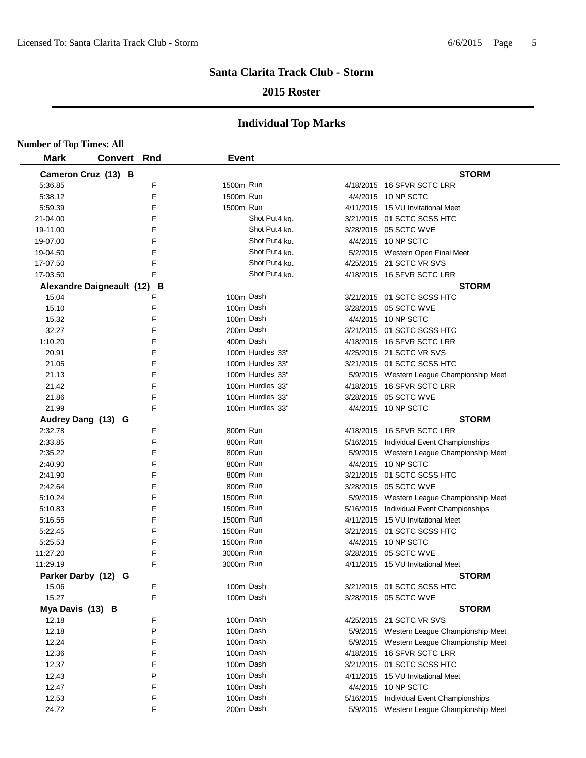### **2015 Roster**

| <b>Number of Top Times: All</b> |                             |   |              |                           |                                           |
|---------------------------------|-----------------------------|---|--------------|---------------------------|-------------------------------------------|
| <b>Mark</b>                     | Convert Rnd                 |   | <b>Event</b> |                           |                                           |
|                                 | Cameron Cruz (13) B         |   |              |                           | <b>STORM</b>                              |
| 5:36.85                         |                             | F | 1500m Run    |                           | 4/18/2015 16 SFVR SCTC LRR                |
| 5:38.12                         |                             | F | 1500m Run    |                           | 4/4/2015 10 NP SCTC                       |
| 5:59.39                         |                             | F | 1500m Run    |                           | 4/11/2015 15 VU Invitational Meet         |
| 21-04.00                        |                             | F |              | Shot Put <sub>4</sub> kg. | 3/21/2015 01 SCTC SCSS HTC                |
| 19-11.00                        |                             | F |              | Shot Put4 kg.             | 3/28/2015 05 SCTC WVE                     |
| 19-07.00                        |                             | F |              | Shot Put4 kg.             | 4/4/2015 10 NP SCTC                       |
| 19-04.50                        |                             | F |              | Shot Put4 kg.             | 5/2/2015 Western Open Final Meet          |
| 17-07.50                        |                             | F |              | Shot Put4 ka.             | 4/25/2015 21 SCTC VR SVS                  |
| 17-03.50                        |                             | F |              | Shot Put4 ka.             | 4/18/2015 16 SFVR SCTC LRR                |
|                                 | Alexandre Daigneault (12) B |   |              |                           | <b>STORM</b>                              |
| 15.04                           |                             | F | 100m Dash    |                           | 3/21/2015 01 SCTC SCSS HTC                |
| 15.10                           |                             | F | 100m Dash    |                           | 3/28/2015 05 SCTC WVE                     |
| 15.32                           |                             | F | 100m Dash    |                           | 4/4/2015 10 NP SCTC                       |
| 32.27                           |                             | F | 200m Dash    |                           | 3/21/2015 01 SCTC SCSS HTC                |
| 1:10.20                         |                             | F | 400m Dash    |                           | 4/18/2015 16 SFVR SCTC LRR                |
| 20.91                           |                             | F |              | 100m Hurdles 33"          | 4/25/2015 21 SCTC VR SVS                  |
| 21.05                           |                             | F |              | 100m Hurdles 33"          | 3/21/2015 01 SCTC SCSS HTC                |
| 21.13                           |                             | F |              | 100m Hurdles 33"          | 5/9/2015 Western League Championship Meet |
| 21.42                           |                             | F |              | 100m Hurdles 33"          | 4/18/2015 16 SFVR SCTC LRR                |
| 21.86                           |                             | F |              | 100m Hurdles 33"          | 3/28/2015 05 SCTC WVE                     |
| 21.99                           |                             | F |              | 100m Hurdles 33"          | 4/4/2015 10 NP SCTC                       |
| Audrey Dang (13) G              |                             |   |              |                           | <b>STORM</b>                              |
| 2:32.78                         |                             | F | 800m Run     |                           | 4/18/2015 16 SFVR SCTC LRR                |
| 2:33.85                         |                             | F | 800m Run     |                           | 5/16/2015 Individual Event Championships  |
| 2:35.22                         |                             | F | 800m Run     |                           | 5/9/2015 Western League Championship Meet |
| 2:40.90                         |                             | F | 800m Run     |                           | 4/4/2015 10 NP SCTC                       |
| 2:41.90                         |                             | F | 800m Run     |                           | 3/21/2015 01 SCTC SCSS HTC                |
| 2:42.64                         |                             | F | 800m Run     |                           | 3/28/2015 05 SCTC WVE                     |
| 5:10.24                         |                             | F | 1500m Run    |                           | 5/9/2015 Western League Championship Meet |
| 5:10.83                         |                             | F | 1500m Run    |                           | 5/16/2015 Individual Event Championships  |
| 5:16.55                         |                             | F | 1500m Run    |                           | 4/11/2015 15 VU Invitational Meet         |
| 5:22.45                         |                             | F | 1500m Run    |                           | 3/21/2015 01 SCTC SCSS HTC                |
| 5:25.53                         |                             | F | 1500m Run    |                           | 4/4/2015 10 NP SCTC                       |
| 11:27.20                        |                             | F | 3000m Run    |                           | 3/28/2015 05 SCTC WVE                     |
| 11:29.19                        |                             |   | 3000m Run    |                           | 4/11/2015 15 VU Invitational Meet         |
| Parker Darby (12) G             |                             |   |              |                           | <b>STORM</b>                              |
| 15.06                           |                             | F |              | 100m Dash                 | 3/21/2015 01 SCTC SCSS HTC                |
| 15.27                           |                             | F | 100m Dash    |                           | 3/28/2015 05 SCTC WVE                     |
| Mya Davis (13) B                |                             |   |              |                           | <b>STORM</b>                              |
| 12.18                           |                             | F | 100m Dash    |                           | 4/25/2015 21 SCTC VR SVS                  |
| 12.18                           |                             | P | 100m Dash    |                           | 5/9/2015 Western League Championship Meet |
| 12.24                           |                             | F | 100m Dash    |                           | 5/9/2015 Western League Championship Meet |
| 12.36                           |                             | F | 100m Dash    |                           | 4/18/2015 16 SFVR SCTC LRR                |
| 12.37                           |                             | F | 100m Dash    |                           | 3/21/2015 01 SCTC SCSS HTC                |
| 12.43                           |                             | P | 100m Dash    |                           | 4/11/2015 15 VU Invitational Meet         |
| 12.47                           |                             | F | 100m Dash    |                           | 4/4/2015 10 NP SCTC                       |
| 12.53                           |                             | F | 100m Dash    |                           | 5/16/2015 Individual Event Championships  |
| 24.72                           |                             | F | 200m Dash    |                           | 5/9/2015 Western League Championship Meet |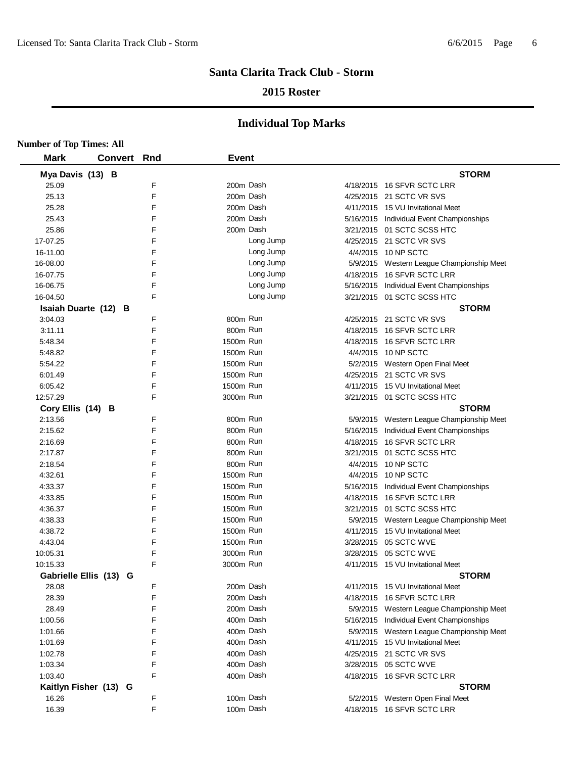### **2015 Roster**

| <b>Number of Top Times: All</b> |                    |   |              |           |                                           |
|---------------------------------|--------------------|---|--------------|-----------|-------------------------------------------|
| <b>Mark</b>                     | <b>Convert Rnd</b> |   | <b>Event</b> |           |                                           |
| Mya Davis (13) B                |                    |   |              |           | <b>STORM</b>                              |
| 25.09                           |                    | F |              | 200m Dash | 4/18/2015 16 SFVR SCTC LRR                |
| 25.13                           |                    | F |              | 200m Dash | 4/25/2015 21 SCTC VR SVS                  |
| 25.28                           |                    | F |              | 200m Dash | 4/11/2015 15 VU Invitational Meet         |
| 25.43                           |                    | F |              | 200m Dash | 5/16/2015 Individual Event Championships  |
| 25.86                           |                    | F |              | 200m Dash | 3/21/2015 01 SCTC SCSS HTC                |
| 17-07.25                        |                    | F |              | Long Jump | 4/25/2015 21 SCTC VR SVS                  |
| 16-11.00                        |                    | F |              | Long Jump | 4/4/2015 10 NP SCTC                       |
| 16-08.00                        |                    | F |              | Long Jump | 5/9/2015 Western League Championship Meet |
| 16-07.75                        |                    | F |              | Long Jump | 4/18/2015 16 SFVR SCTC LRR                |
| 16-06.75                        |                    | F |              | Long Jump | 5/16/2015 Individual Event Championships  |
| 16-04.50                        |                    | F |              | Long Jump | 3/21/2015 01 SCTC SCSS HTC                |
| Isaiah Duarte (12) B            |                    |   |              |           | <b>STORM</b>                              |
| 3:04.03                         |                    | F | 800m Run     |           | 4/25/2015 21 SCTC VR SVS                  |
| 3:11.11                         |                    | F | 800m Run     |           | 4/18/2015 16 SFVR SCTC LRR                |
| 5:48.34                         |                    | F | 1500m Run    |           | 4/18/2015 16 SFVR SCTC LRR                |
| 5:48.82                         |                    | F | 1500m Run    |           | 4/4/2015 10 NP SCTC                       |
| 5:54.22                         |                    | F | 1500m Run    |           | 5/2/2015 Western Open Final Meet          |
| 6:01.49                         |                    | F | 1500m Run    |           | 4/25/2015 21 SCTC VR SVS                  |
| 6:05.42                         |                    | F | 1500m Run    |           | 4/11/2015 15 VU Invitational Meet         |
| 12:57.29                        |                    | F | 3000m Run    |           | 3/21/2015 01 SCTC SCSS HTC                |
| Cory Ellis (14) B               |                    |   |              |           | <b>STORM</b>                              |
| 2:13.56                         |                    | F | 800m Run     |           | 5/9/2015 Western League Championship Meet |
| 2:15.62                         |                    | F | 800m Run     |           | 5/16/2015 Individual Event Championships  |
| 2:16.69                         |                    | F | 800m Run     |           | 4/18/2015 16 SFVR SCTC LRR                |
| 2:17.87                         |                    | F | 800m Run     |           | 3/21/2015 01 SCTC SCSS HTC                |
| 2:18.54                         |                    | F | 800m Run     |           | 4/4/2015 10 NP SCTC                       |
| 4:32.61                         |                    | F | 1500m Run    |           | 4/4/2015 10 NP SCTC                       |
| 4:33.37                         |                    | F | 1500m Run    |           | 5/16/2015 Individual Event Championships  |
| 4:33.85                         |                    | F | 1500m Run    |           | 4/18/2015 16 SFVR SCTC LRR                |
| 4:36.37                         |                    | F | 1500m Run    |           | 3/21/2015 01 SCTC SCSS HTC                |
| 4:38.33                         |                    | F | 1500m Run    |           | 5/9/2015 Western League Championship Meet |
| 4:38.72                         |                    | F | 1500m Run    |           | 4/11/2015 15 VU Invitational Meet         |
| 4:43.04                         |                    | F | 1500m Run    |           | 3/28/2015 05 SCTC WVE                     |
| 10:05.31                        |                    | F | 3000m Run    |           | 3/28/2015 05 SCTC WVE                     |
| 10:15.33                        |                    | F | 3000m Run    |           | 4/11/2015 15 VU Invitational Meet         |
| Gabrielle Ellis (13) G          |                    |   |              |           | <b>STORM</b>                              |
| 28.08                           |                    | F |              | 200m Dash | 4/11/2015 15 VU Invitational Meet         |
| 28.39                           |                    | F |              | 200m Dash | 4/18/2015 16 SFVR SCTC LRR                |
| 28.49                           |                    | F |              | 200m Dash | 5/9/2015 Western League Championship Meet |
| 1:00.56                         |                    | F |              | 400m Dash | 5/16/2015 Individual Event Championships  |
| 1:01.66                         |                    | F |              | 400m Dash | 5/9/2015 Western League Championship Meet |
| 1:01.69                         |                    | F |              | 400m Dash | 4/11/2015 15 VU Invitational Meet         |
| 1:02.78                         |                    | F |              | 400m Dash | 4/25/2015 21 SCTC VR SVS                  |
| 1:03.34                         |                    | F |              | 400m Dash | 3/28/2015 05 SCTC WVE                     |
| 1:03.40                         |                    | F |              | 400m Dash | 4/18/2015 16 SFVR SCTC LRR                |
| Kaitlyn Fisher (13) G           |                    |   |              |           | <b>STORM</b>                              |
| 16.26                           |                    | F |              | 100m Dash | 5/2/2015 Western Open Final Meet          |
| 16.39                           |                    | F |              | 100m Dash | 4/18/2015 16 SFVR SCTC LRR                |
|                                 |                    |   |              |           |                                           |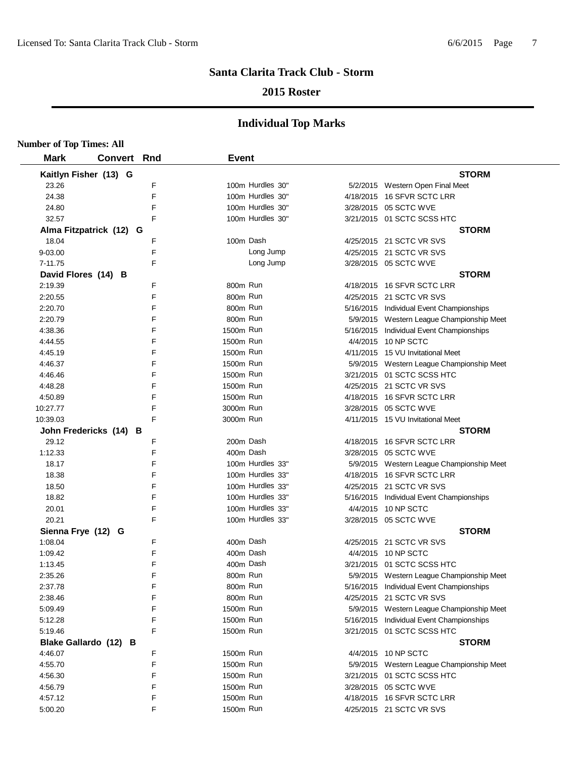### **2015 Roster**

| <b>Number of Top Times: All</b> |                         |   |              |                  |                                           |
|---------------------------------|-------------------------|---|--------------|------------------|-------------------------------------------|
| <b>Mark</b>                     | <b>Convert Rnd</b>      |   | <b>Event</b> |                  |                                           |
|                                 | Kaitlyn Fisher (13) G   |   |              |                  | <b>STORM</b>                              |
| 23.26                           |                         | F |              | 100m Hurdles 30" | 5/2/2015 Western Open Final Meet          |
| 24.38                           |                         | F |              | 100m Hurdles 30" | 4/18/2015 16 SFVR SCTC LRR                |
| 24.80                           |                         | F |              | 100m Hurdles 30" | 3/28/2015 05 SCTC WVE                     |
| 32.57                           |                         | F |              | 100m Hurdles 30" | 3/21/2015 01 SCTC SCSS HTC                |
|                                 | Alma Fitzpatrick (12) G |   |              |                  | <b>STORM</b>                              |
| 18.04                           |                         | F | 100m Dash    |                  | 4/25/2015 21 SCTC VR SVS                  |
| 9-03.00                         |                         | F |              | Long Jump        | 4/25/2015 21 SCTC VR SVS                  |
| 7-11.75                         |                         | F |              | Long Jump        | 3/28/2015 05 SCTC WVE                     |
|                                 | David Flores (14) B     |   |              |                  | <b>STORM</b>                              |
| 2:19.39                         |                         | F | 800m Run     |                  | 4/18/2015 16 SFVR SCTC LRR                |
| 2:20.55                         |                         | F | 800m Run     |                  | 4/25/2015 21 SCTC VR SVS                  |
| 2:20.70                         |                         | F | 800m Run     |                  | 5/16/2015 Individual Event Championships  |
| 2:20.79                         |                         | F | 800m Run     |                  | 5/9/2015 Western League Championship Meet |
| 4:38.36                         |                         | F | 1500m Run    |                  | 5/16/2015 Individual Event Championships  |
| 4:44.55                         |                         | F | 1500m Run    |                  | 4/4/2015 10 NP SCTC                       |
| 4:45.19                         |                         | F | 1500m Run    |                  | 4/11/2015 15 VU Invitational Meet         |
| 4:46.37                         |                         | F | 1500m Run    |                  | 5/9/2015 Western League Championship Meet |
| 4:46.46                         |                         | F | 1500m Run    |                  | 3/21/2015 01 SCTC SCSS HTC                |
| 4:48.28                         |                         | F | 1500m Run    |                  | 4/25/2015 21 SCTC VR SVS                  |
| 4:50.89                         |                         | F | 1500m Run    |                  | 4/18/2015 16 SFVR SCTC LRR                |
| 10:27.77                        |                         | F | 3000m Run    |                  | 3/28/2015 05 SCTC WVE                     |
| 10:39.03                        |                         | F | 3000m Run    |                  | 4/11/2015 15 VU Invitational Meet         |
|                                 | John Fredericks (14) B  |   |              |                  | <b>STORM</b>                              |
| 29.12                           |                         | F | 200m Dash    |                  | 4/18/2015 16 SFVR SCTC LRR                |
| 1:12.33                         |                         | F | 400m Dash    |                  | 3/28/2015 05 SCTC WVE                     |
| 18.17                           |                         | F |              | 100m Hurdles 33" | 5/9/2015 Western League Championship Meet |
| 18.38                           |                         | F |              | 100m Hurdles 33" | 4/18/2015 16 SFVR SCTC LRR                |
| 18.50                           |                         | F |              | 100m Hurdles 33" | 4/25/2015 21 SCTC VR SVS                  |
| 18.82                           |                         | F |              | 100m Hurdles 33" | 5/16/2015 Individual Event Championships  |
| 20.01                           |                         | F |              | 100m Hurdles 33" | 4/4/2015 10 NP SCTC                       |
| 20.21                           |                         | F |              | 100m Hurdles 33" | 3/28/2015 05 SCTC WVE                     |
| Sienna Frye (12) G              |                         |   |              |                  | <b>STORM</b>                              |
| 1:08.04                         |                         | F | 400m Dash    |                  | 4/25/2015 21 SCTC VR SVS                  |
| 1:09.42                         |                         | F | 400m Dash    |                  | 4/4/2015 10 NP SCTC                       |
| 1:13.45                         |                         | F | 400m Dash    |                  | 3/21/2015 01 SCTC SCSS HTC                |
| 2:35.26                         |                         | F | 800m Run     |                  | 5/9/2015 Western League Championship Meet |
| 2:37.78                         |                         | F | 800m Run     |                  | 5/16/2015 Individual Event Championships  |
| 2:38.46                         |                         | F | 800m Run     |                  | 4/25/2015 21 SCTC VR SVS                  |
| 5:09.49                         |                         | F | 1500m Run    |                  | 5/9/2015 Western League Championship Meet |
| 5:12.28                         |                         | F | 1500m Run    |                  | 5/16/2015 Individual Event Championships  |
| 5:19.46                         |                         | F | 1500m Run    |                  | 3/21/2015 01 SCTC SCSS HTC                |
|                                 | Blake Gallardo (12) B   |   |              |                  | <b>STORM</b>                              |
| 4:46.07                         |                         | F | 1500m Run    |                  | 4/4/2015 10 NP SCTC                       |
| 4:55.70                         |                         | F | 1500m Run    |                  | 5/9/2015 Western League Championship Meet |
| 4:56.30                         |                         | F | 1500m Run    |                  | 3/21/2015 01 SCTC SCSS HTC                |
| 4:56.79                         |                         | F | 1500m Run    |                  | 3/28/2015 05 SCTC WVE                     |
| 4:57.12                         |                         | F | 1500m Run    |                  | 4/18/2015 16 SFVR SCTC LRR                |
| 5:00.20                         |                         | F | 1500m Run    |                  | 4/25/2015 21 SCTC VR SVS                  |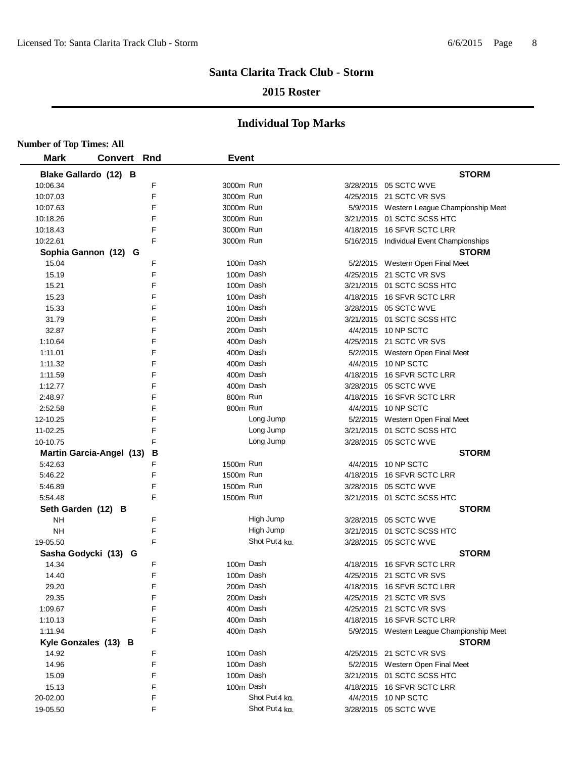### **2015 Roster**

| <b>Number of Top Times: All</b> |             |   |              |               |                                           |
|---------------------------------|-------------|---|--------------|---------------|-------------------------------------------|
| <b>Mark</b>                     | Convert Rnd |   | <b>Event</b> |               |                                           |
| Blake Gallardo (12) B           |             |   |              |               | <b>STORM</b>                              |
| 10:06.34                        |             | F | 3000m Run    |               | 3/28/2015 05 SCTC WVE                     |
| 10:07.03                        |             | F | 3000m Run    |               | 4/25/2015 21 SCTC VR SVS                  |
| 10:07.63                        |             | F | 3000m Run    |               | 5/9/2015 Western League Championship Meet |
| 10:18.26                        |             | F | 3000m Run    |               | 3/21/2015 01 SCTC SCSS HTC                |
| 10:18.43                        |             | F | 3000m Run    |               | 4/18/2015 16 SFVR SCTC LRR                |
| 10:22.61                        |             | E | 3000m Run    |               | 5/16/2015 Individual Event Championships  |
| Sophia Gannon (12) G            |             |   |              |               | <b>STORM</b>                              |
| 15.04                           |             | F |              | 100m Dash     | 5/2/2015 Western Open Final Meet          |
| 15.19                           |             | F |              | 100m Dash     | 4/25/2015 21 SCTC VR SVS                  |
| 15.21                           |             | F |              | 100m Dash     | 3/21/2015 01 SCTC SCSS HTC                |
| 15.23                           |             | F |              | 100m Dash     | 4/18/2015 16 SFVR SCTC LRR                |
| 15.33                           |             | F |              | 100m Dash     | 3/28/2015 05 SCTC WVE                     |
| 31.79                           |             | F |              | 200m Dash     | 3/21/2015 01 SCTC SCSS HTC                |
| 32.87                           |             | F |              | 200m Dash     | 4/4/2015 10 NP SCTC                       |
| 1:10.64                         |             | F |              | 400m Dash     | 4/25/2015 21 SCTC VR SVS                  |
| 1:11.01                         |             | F |              | 400m Dash     | 5/2/2015 Western Open Final Meet          |
| 1:11.32                         |             | F |              | 400m Dash     | 4/4/2015 10 NP SCTC                       |
| 1:11.59                         |             | F |              | 400m Dash     | 4/18/2015 16 SFVR SCTC LRR                |
| 1:12.77                         |             | F |              | 400m Dash     | 3/28/2015 05 SCTC WVE                     |
| 2:48.97                         |             | F | 800m Run     |               | 4/18/2015 16 SFVR SCTC LRR                |
| 2:52.58                         |             | F | 800m Run     |               | 4/4/2015 10 NP SCTC                       |
| 12-10.25                        |             | F |              | Long Jump     | 5/2/2015 Western Open Final Meet          |
| 11-02.25                        |             | F |              | Long Jump     | 3/21/2015 01 SCTC SCSS HTC                |
| 10-10.75                        |             | F |              | Long Jump     | 3/28/2015 05 SCTC WVE                     |
| <b>Martin Garcia-Angel (13)</b> |             | В |              |               | <b>STORM</b>                              |
| 5:42.63                         |             | F | 1500m Run    |               | 4/4/2015 10 NP SCTC                       |
| 5:46.22                         |             | E | 1500m Run    |               | 4/18/2015 16 SFVR SCTC LRR                |
| 5:46.89                         |             | F | 1500m Run    |               | 3/28/2015 05 SCTC WVE                     |
| 5:54.48                         |             | F | 1500m Run    |               | 3/21/2015 01 SCTC SCSS HTC                |
| Seth Garden (12) B              |             |   |              |               | <b>STORM</b>                              |
| <b>NH</b>                       |             | F |              | High Jump     | 3/28/2015 05 SCTC WVE                     |
| <b>NH</b>                       |             | F |              | High Jump     | 3/21/2015 01 SCTC SCSS HTC                |
| 19-05.50                        |             | F |              | Shot Put4 kg. | 3/28/2015 05 SCTC WVE                     |
| Sasha Godycki (13) G            |             |   |              |               | <b>STORM</b>                              |
| 14.34                           |             | F |              | 100m Dash     | 4/18/2015 16 SFVR SCTC LRR                |
| 14.40                           |             | F |              | 100m Dash     | 4/25/2015 21 SCTC VR SVS                  |
| 29.20                           |             | F |              | 200m Dash     | 4/18/2015 16 SFVR SCTC LRR                |
| 29.35                           |             | F |              | 200m Dash     | 4/25/2015 21 SCTC VR SVS                  |
| 1:09.67                         |             | F |              | 400m Dash     | 4/25/2015 21 SCTC VR SVS                  |
| 1:10.13                         |             | F |              | 400m Dash     | 4/18/2015 16 SFVR SCTC LRR                |
| 1:11.94                         |             | F |              | 400m Dash     | 5/9/2015 Western League Championship Meet |
| Kyle Gonzales (13) B            |             |   |              |               | <b>STORM</b>                              |
| 14.92                           |             | F |              | 100m Dash     | 4/25/2015 21 SCTC VR SVS                  |
| 14.96                           |             | F |              | 100m Dash     | 5/2/2015 Western Open Final Meet          |
| 15.09                           |             | F |              | 100m Dash     | 3/21/2015 01 SCTC SCSS HTC                |
|                                 |             | F |              | 100m Dash     | 4/18/2015 16 SFVR SCTC LRR                |
| 15.13                           |             |   |              | Shot Put4 ka. |                                           |
| 20-02.00                        |             | F |              |               | 4/4/2015 10 NP SCTC                       |
| 19-05.50                        |             | F |              | Shot Put4 ka. | 3/28/2015 05 SCTC WVE                     |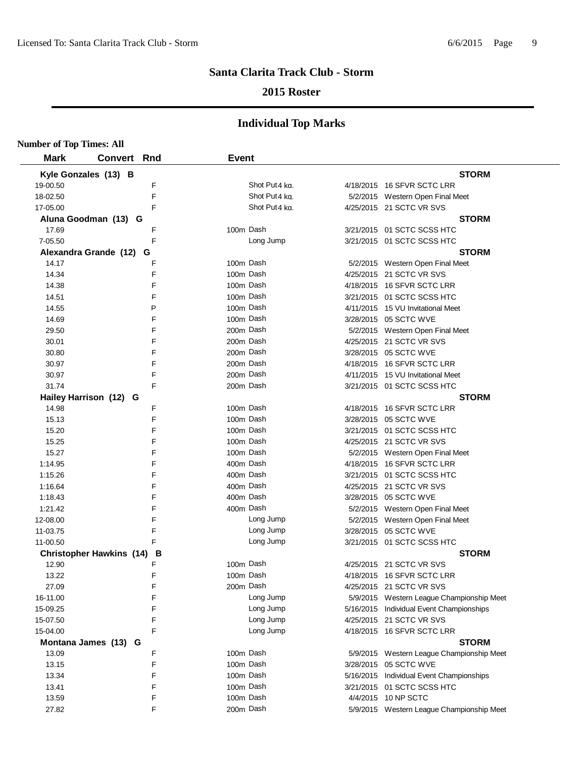### **2015 Roster**

| <b>Number of Top Times: All</b> |                                 |   |              |                           |                                                                |
|---------------------------------|---------------------------------|---|--------------|---------------------------|----------------------------------------------------------------|
| <b>Mark</b>                     | <b>Convert Rnd</b>              |   | <b>Event</b> |                           |                                                                |
|                                 | Kyle Gonzales (13) B            |   |              |                           | <b>STORM</b>                                                   |
| 19-00.50                        |                                 | F |              | Shot Put <sub>4</sub> kg. | 4/18/2015 16 SFVR SCTC LRR                                     |
| 18-02.50                        |                                 | F |              | Shot Put <sub>4</sub> kg. | 5/2/2015 Western Open Final Meet                               |
| 17-05.00                        |                                 | F |              | Shot Put4 kg.             | 4/25/2015 21 SCTC VR SVS                                       |
|                                 | Aluna Goodman (13) G            |   |              |                           | <b>STORM</b>                                                   |
| 17.69                           |                                 | F |              | 100m Dash                 | 3/21/2015 01 SCTC SCSS HTC                                     |
| 7-05.50                         |                                 | F |              | Long Jump                 | 3/21/2015 01 SCTC SCSS HTC                                     |
|                                 | Alexandra Grande (12)           | G |              |                           | <b>STORM</b>                                                   |
| 14.17                           |                                 | F |              | 100m Dash                 | 5/2/2015 Western Open Final Meet                               |
| 14.34                           |                                 | F |              | 100m Dash                 | 4/25/2015 21 SCTC VR SVS                                       |
| 14.38                           |                                 | F |              | 100m Dash                 | 4/18/2015 16 SFVR SCTC LRR                                     |
| 14.51                           |                                 | F |              | 100m Dash                 | 3/21/2015 01 SCTC SCSS HTC                                     |
| 14.55                           |                                 | P |              | 100m Dash                 | 4/11/2015 15 VU Invitational Meet                              |
| 14.69                           |                                 | F |              | 100m Dash                 | 3/28/2015 05 SCTC WVE                                          |
| 29.50                           |                                 | F |              | 200m Dash                 | 5/2/2015 Western Open Final Meet                               |
| 30.01                           |                                 | F |              | 200m Dash                 | 4/25/2015 21 SCTC VR SVS                                       |
| 30.80                           |                                 | F |              | 200m Dash                 | 3/28/2015 05 SCTC WVE                                          |
| 30.97                           |                                 | F |              | 200m Dash                 | 4/18/2015 16 SFVR SCTC LRR                                     |
| 30.97                           |                                 | F |              | 200m Dash                 | 4/11/2015 15 VU Invitational Meet                              |
| 31.74                           |                                 | F |              | 200m Dash                 | 3/21/2015 01 SCTC SCSS HTC                                     |
|                                 | Hailey Harrison (12) G          |   |              |                           | <b>STORM</b>                                                   |
| 14.98                           |                                 | F |              | 100m Dash                 |                                                                |
| 15.13                           |                                 | F |              | 100m Dash                 | 4/18/2015 16 SFVR SCTC LRR<br>3/28/2015 05 SCTC WVE            |
|                                 |                                 | F |              | 100m Dash                 |                                                                |
| 15.20                           |                                 | F |              | 100m Dash                 | 3/21/2015 01 SCTC SCSS HTC                                     |
| 15.25                           |                                 | F |              |                           | 4/25/2015 21 SCTC VR SVS                                       |
| 15.27                           |                                 | F |              | 100m Dash                 | 5/2/2015 Western Open Final Meet<br>4/18/2015 16 SFVR SCTC LRR |
| 1:14.95                         |                                 |   |              | 400m Dash                 |                                                                |
| 1:15.26                         |                                 | F |              | 400m Dash                 | 3/21/2015 01 SCTC SCSS HTC                                     |
| 1:16.64                         |                                 | F |              | 400m Dash                 | 4/25/2015 21 SCTC VR SVS                                       |
| 1:18.43                         |                                 | F |              | 400m Dash                 | 3/28/2015 05 SCTC WVE                                          |
| 1:21.42                         |                                 | F |              | 400m Dash                 | 5/2/2015 Western Open Final Meet                               |
| 12-08.00                        |                                 | F |              | Long Jump                 | 5/2/2015 Western Open Final Meet                               |
| 11-03.75                        |                                 | F |              | Long Jump                 | 3/28/2015 05 SCTC WVE                                          |
| 11-00.50                        |                                 | F |              | Long Jump                 | 3/21/2015 01 SCTC SCSS HTC                                     |
|                                 | <b>Christopher Hawkins (14)</b> | В |              |                           | <b>STORM</b>                                                   |
| 12.90                           |                                 |   |              | 100m Dash                 | 4/25/2015 21 SCTC VR SVS                                       |
| 13.22                           |                                 | F |              | 100m Dash                 | 4/18/2015 16 SFVR SCTC LRR                                     |
| 27.09                           |                                 | F |              | 200m Dash                 | 4/25/2015 21 SCTC VR SVS                                       |
| 16-11.00                        |                                 | F |              | Long Jump                 | 5/9/2015 Western League Championship Meet                      |
| 15-09.25                        |                                 | F |              | Long Jump                 | 5/16/2015 Individual Event Championships                       |
| 15-07.50                        |                                 | F |              | Long Jump                 | 4/25/2015 21 SCTC VR SVS                                       |
| 15-04.00                        |                                 | F |              | Long Jump                 | 4/18/2015 16 SFVR SCTC LRR                                     |
|                                 | Montana James (13) G            |   |              |                           | <b>STORM</b>                                                   |
| 13.09                           |                                 | F |              | 100m Dash                 | 5/9/2015 Western League Championship Meet                      |
| 13.15                           |                                 | F |              | 100m Dash                 | 3/28/2015 05 SCTC WVE                                          |
| 13.34                           |                                 | F |              | 100m Dash                 | 5/16/2015 Individual Event Championships                       |
| 13.41                           |                                 | F |              | 100m Dash                 | 3/21/2015 01 SCTC SCSS HTC                                     |
| 13.59                           |                                 | F |              | 100m Dash                 | 4/4/2015 10 NP SCTC                                            |
| 27.82                           |                                 | F |              | 200m Dash                 | 5/9/2015 Western League Championship Meet                      |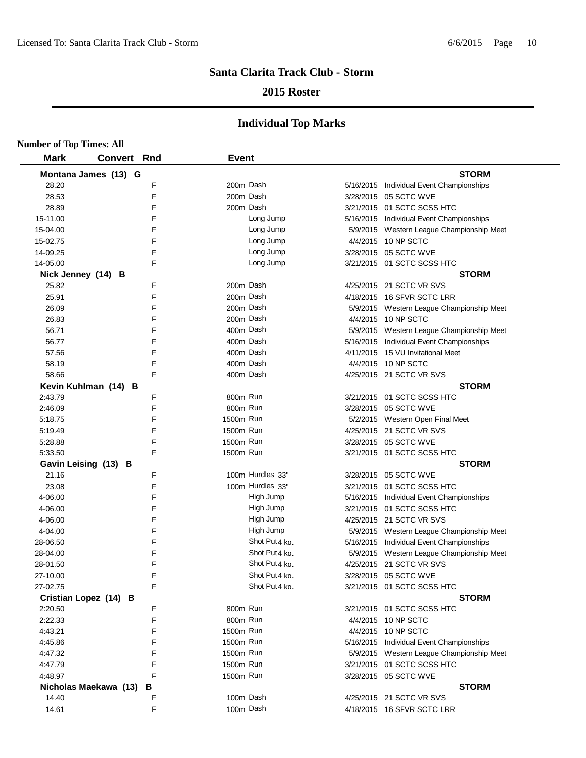### **2015 Roster**

| <b>Number of Top Times: All</b> |                       |   |              |                  |                                           |
|---------------------------------|-----------------------|---|--------------|------------------|-------------------------------------------|
| <b>Mark</b>                     | <b>Convert Rnd</b>    |   | <b>Event</b> |                  |                                           |
|                                 | Montana James (13) G  |   |              |                  | <b>STORM</b>                              |
| 28.20                           |                       | F |              | 200m Dash        | 5/16/2015 Individual Event Championships  |
| 28.53                           |                       | E |              | 200m Dash        | 3/28/2015 05 SCTC WVE                     |
| 28.89                           |                       | F |              | 200m Dash        | 3/21/2015 01 SCTC SCSS HTC                |
| 15-11.00                        |                       | F |              | Long Jump        | 5/16/2015 Individual Event Championships  |
| 15-04.00                        |                       | F |              | Long Jump        | 5/9/2015 Western League Championship Meet |
| 15-02.75                        |                       | F |              | Long Jump        | 4/4/2015 10 NP SCTC                       |
| 14-09.25                        |                       | F |              | Long Jump        | 3/28/2015 05 SCTC WVE                     |
| 14-05.00                        |                       | E |              | Long Jump        | 3/21/2015    01 SCTC SCSS HTC             |
| Nick Jenney (14) B              |                       |   |              |                  | <b>STORM</b>                              |
| 25.82                           |                       | F |              | 200m Dash        | 4/25/2015 21 SCTC VR SVS                  |
| 25.91                           |                       | F |              | 200m Dash        | 4/18/2015 16 SFVR SCTC LRR                |
| 26.09                           |                       | F | 200m Dash    |                  | 5/9/2015 Western League Championship Meet |
| 26.83                           |                       | F |              | 200m Dash        | 4/4/2015 10 NP SCTC                       |
| 56.71                           |                       | F |              | 400m Dash        | 5/9/2015 Western League Championship Meet |
| 56.77                           |                       | F |              | 400m Dash        | 5/16/2015 Individual Event Championships  |
| 57.56                           |                       | F |              | 400m Dash        | 4/11/2015 15 VU Invitational Meet         |
| 58.19                           |                       | F |              | 400m Dash        | 4/4/2015 10 NP SCTC                       |
| 58.66                           |                       | F |              | 400m Dash        | 4/25/2015 21 SCTC VR SVS                  |
|                                 | Kevin Kuhlman (14) B  |   |              |                  | <b>STORM</b>                              |
| 2:43.79                         |                       | F | 800m Run     |                  | 3/21/2015    01 SCTC SCSS HTC             |
| 2:46.09                         |                       | F | 800m Run     |                  | 3/28/2015  05 SCTC WVE                    |
| 5:18.75                         |                       | F | 1500m Run    |                  | 5/2/2015 Western Open Final Meet          |
| 5:19.49                         |                       | F | 1500m Run    |                  | 4/25/2015 21 SCTC VR SVS                  |
| 5:28.88                         |                       | F | 1500m Run    |                  | 3/28/2015 05 SCTC WVE                     |
| 5:33.50                         |                       | E | 1500m Run    |                  | 3/21/2015    01 SCTC SCSS HTC             |
|                                 | Gavin Leising (13) B  |   |              |                  | <b>STORM</b>                              |
| 21.16                           |                       | F |              | 100m Hurdles 33" | 3/28/2015 05 SCTC WVE                     |
| 23.08                           |                       | F |              | 100m Hurdles 33" | 3/21/2015 01 SCTC SCSS HTC                |
| 4-06.00                         |                       | F |              | High Jump        | 5/16/2015 Individual Event Championships  |
| 4-06.00                         |                       | F |              | High Jump        | 3/21/2015    01 SCTC SCSS HTC             |
| 4-06.00                         |                       | F |              | High Jump        | 4/25/2015 21 SCTC VR SVS                  |
| 4-04.00                         |                       | F |              | High Jump        | 5/9/2015 Western League Championship Meet |
| 28-06.50                        |                       | F |              | Shot Put4 kg.    | 5/16/2015 Individual Event Championships  |
| 28-04.00                        |                       | F |              | Shot Put4 kg.    | 5/9/2015 Western League Championship Meet |
| 28-01.50                        |                       | F |              | Shot Put4 kg.    | 4/25/2015 21 SCTC VR SVS                  |
| 27-10.00                        |                       | F |              | Shot Put4 kg.    | 3/28/2015 05 SCTC WVE                     |
| 27-02.75                        |                       | F |              | Shot Put4 kg.    | 3/21/2015 01 SCTC SCSS HTC                |
|                                 | Cristian Lopez (14) B |   |              |                  | <b>STORM</b>                              |
| 2:20.50                         |                       | F | 800m Run     |                  | 3/21/2015 01 SCTC SCSS HTC                |
| 2:22.33                         |                       | F | 800m Run     |                  | 4/4/2015 10 NP SCTC                       |
| 4:43.21                         |                       | F | 1500m Run    |                  | 4/4/2015 10 NP SCTC                       |
| 4:45.86                         |                       | F | 1500m Run    |                  | 5/16/2015 Individual Event Championships  |
| 4:47.32                         |                       | F | 1500m Run    |                  | 5/9/2015 Western League Championship Meet |
| 4:47.79                         |                       | F | 1500m Run    |                  | 3/21/2015 01 SCTC SCSS HTC                |
| 4:48.97                         |                       | F | 1500m Run    |                  | 3/28/2015 05 SCTC WVE                     |
|                                 | Nicholas Maekawa (13) | в |              |                  | <b>STORM</b>                              |
| 14.40                           |                       | F |              | 100m Dash        | 4/25/2015 21 SCTC VR SVS                  |
| 14.61                           |                       | F |              | 100m Dash        | 4/18/2015 16 SFVR SCTC LRR                |
|                                 |                       |   |              |                  |                                           |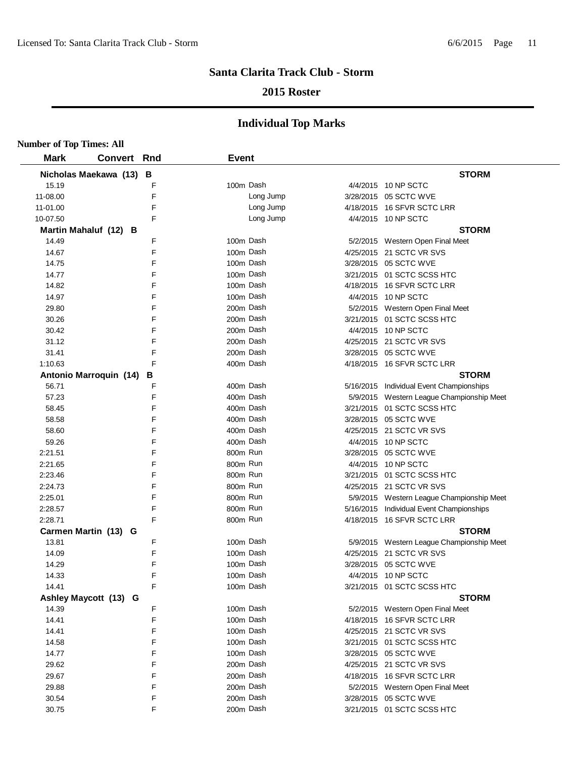### **2015 Roster**

| <b>Number of Top Times: All</b> |                        |   |              |                                           |
|---------------------------------|------------------------|---|--------------|-------------------------------------------|
| <b>Mark</b>                     | <b>Convert Rnd</b>     |   | <b>Event</b> |                                           |
|                                 | Nicholas Maekawa (13)  | B |              | <b>STORM</b>                              |
| 15.19                           |                        | F | 100m Dash    | 4/4/2015 10 NP SCTC                       |
| 11-08.00                        |                        | F | Long Jump    | 3/28/2015 05 SCTC WVE                     |
| 11-01.00                        |                        | F | Long Jump    | 4/18/2015 16 SFVR SCTC LRR                |
| 10-07.50                        |                        | F | Long Jump    | 4/4/2015 10 NP SCTC                       |
|                                 | Martin Mahaluf (12) B  |   |              | <b>STORM</b>                              |
| 14.49                           |                        | F | 100m Dash    | 5/2/2015 Western Open Final Meet          |
| 14.67                           |                        | F | 100m Dash    | 4/25/2015 21 SCTC VR SVS                  |
| 14.75                           |                        | F | 100m Dash    | 3/28/2015 05 SCTC WVE                     |
| 14.77                           |                        | F | 100m Dash    | 3/21/2015 01 SCTC SCSS HTC                |
| 14.82                           |                        | F | 100m Dash    | 4/18/2015 16 SFVR SCTC LRR                |
| 14.97                           |                        | F | 100m Dash    | 4/4/2015 10 NP SCTC                       |
| 29.80                           |                        | F | 200m Dash    | 5/2/2015 Western Open Final Meet          |
| 30.26                           |                        | F | 200m Dash    | 3/21/2015 01 SCTC SCSS HTC                |
| 30.42                           |                        | F | 200m Dash    | 4/4/2015 10 NP SCTC                       |
| 31.12                           |                        | F | 200m Dash    | 4/25/2015 21 SCTC VR SVS                  |
| 31.41                           |                        | F | 200m Dash    | 3/28/2015 05 SCTC WVE                     |
| 1:10.63                         |                        | F | 400m Dash    | 4/18/2015 16 SFVR SCTC LRR                |
|                                 | Antonio Marroquin (14) | в |              | <b>STORM</b>                              |
| 56.71                           |                        | F | 400m Dash    | 5/16/2015 Individual Event Championships  |
| 57.23                           |                        | F | 400m Dash    | 5/9/2015 Western League Championship Meet |
| 58.45                           |                        | F | 400m Dash    | 3/21/2015 01 SCTC SCSS HTC                |
| 58.58                           |                        | F | 400m Dash    | 3/28/2015 05 SCTC WVE                     |
| 58.60                           |                        | F | 400m Dash    | 4/25/2015 21 SCTC VR SVS                  |
| 59.26                           |                        | F | 400m Dash    | 4/4/2015 10 NP SCTC                       |
| 2:21.51                         |                        | F | 800m Run     | 3/28/2015 05 SCTC WVE                     |
| 2:21.65                         |                        | F | 800m Run     | 4/4/2015 10 NP SCTC                       |
| 2:23.46                         |                        | F | 800m Run     | 3/21/2015 01 SCTC SCSS HTC                |
| 2:24.73                         |                        | F | 800m Run     | 4/25/2015 21 SCTC VR SVS                  |
| 2:25.01                         |                        | F | 800m Run     | 5/9/2015 Western League Championship Meet |
| 2:28.57                         |                        | F | 800m Run     | 5/16/2015 Individual Event Championships  |
| 2:28.71                         |                        | F | 800m Run     | 4/18/2015 16 SFVR SCTC LRR                |
|                                 | Carmen Martin (13) G   |   |              | <b>STORM</b>                              |
| 13.81                           |                        | F | 100m Dash    | 5/9/2015 Western League Championship Meet |
| 14.09                           |                        | F | 100m Dash    | 4/25/2015 21 SCTC VR SVS                  |
| 14.29                           |                        | F | 100m Dash    | 3/28/2015 05 SCTC WVE                     |
| 14.33                           |                        | F | 100m Dash    | 4/4/2015 10 NP SCTC                       |
| 14.41                           |                        | F | 100m Dash    | 3/21/2015 01 SCTC SCSS HTC                |
|                                 | Ashley Maycott (13) G  |   |              | <b>STORM</b>                              |
| 14.39                           |                        | F | 100m Dash    | 5/2/2015 Western Open Final Meet          |
| 14.41                           |                        | F | 100m Dash    | 4/18/2015 16 SFVR SCTC LRR                |
| 14.41                           |                        | F | 100m Dash    | 4/25/2015 21 SCTC VR SVS                  |
| 14.58                           |                        | F | 100m Dash    | 3/21/2015 01 SCTC SCSS HTC                |
| 14.77                           |                        | F | 100m Dash    | 3/28/2015 05 SCTC WVE                     |
| 29.62                           |                        | F | 200m Dash    | 4/25/2015 21 SCTC VR SVS                  |
| 29.67                           |                        | F | 200m Dash    |                                           |
| 29.88                           |                        | F | 200m Dash    | 4/18/2015 16 SFVR SCTC LRR                |
| 30.54                           |                        | F | 200m Dash    | 5/2/2015 Western Open Final Meet          |
|                                 |                        | F |              | 3/28/2015 05 SCTC WVE                     |
| 30.75                           |                        |   | 200m Dash    | 3/21/2015 01 SCTC SCSS HTC                |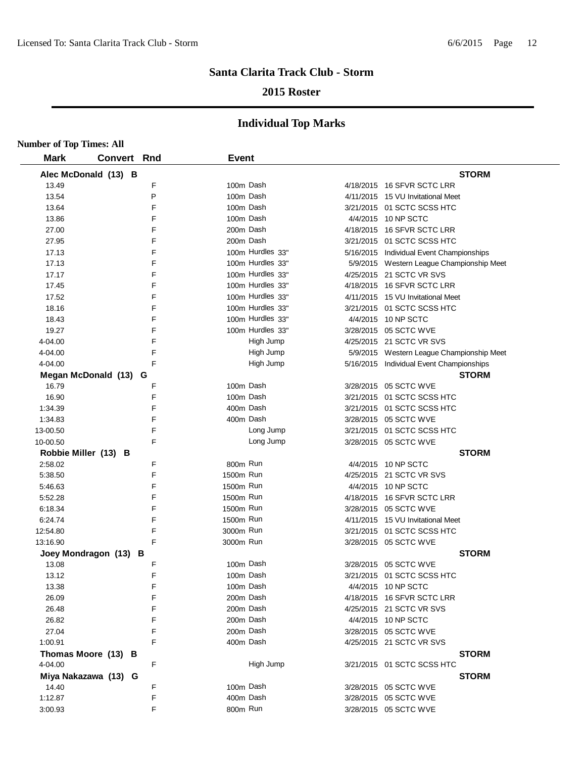### **2015 Roster**

| <b>Number of Top Times: All</b> |                       |   |              |                  |                                           |
|---------------------------------|-----------------------|---|--------------|------------------|-------------------------------------------|
| <b>Mark</b>                     | <b>Convert Rnd</b>    |   | <b>Event</b> |                  |                                           |
|                                 | Alec McDonald (13) B  |   |              |                  | <b>STORM</b>                              |
| 13.49                           |                       | F | 100m Dash    |                  | 4/18/2015 16 SFVR SCTC LRR                |
| 13.54                           |                       | P | 100m Dash    |                  | 4/11/2015 15 VU Invitational Meet         |
| 13.64                           |                       | F | 100m Dash    |                  | 3/21/2015 01 SCTC SCSS HTC                |
| 13.86                           |                       | F | 100m Dash    |                  | 4/4/2015 10 NP SCTC                       |
| 27.00                           |                       | F | 200m Dash    |                  | 4/18/2015 16 SFVR SCTC LRR                |
| 27.95                           |                       | F | 200m Dash    |                  | 3/21/2015 01 SCTC SCSS HTC                |
| 17.13                           |                       | F |              | 100m Hurdles 33" | 5/16/2015 Individual Event Championships  |
| 17.13                           |                       | F |              | 100m Hurdles 33" | 5/9/2015 Western League Championship Meet |
| 17.17                           |                       | F |              | 100m Hurdles 33" | 4/25/2015 21 SCTC VR SVS                  |
| 17.45                           |                       | F |              | 100m Hurdles 33" | 4/18/2015 16 SFVR SCTC LRR                |
| 17.52                           |                       | F |              | 100m Hurdles 33" | 4/11/2015 15 VU Invitational Meet         |
| 18.16                           |                       | F |              | 100m Hurdles 33" | 3/21/2015 01 SCTC SCSS HTC                |
| 18.43                           |                       | F |              | 100m Hurdles 33" | 4/4/2015 10 NP SCTC                       |
| 19.27                           |                       | F |              | 100m Hurdles 33" | 3/28/2015 05 SCTC WVE                     |
| 4-04.00                         |                       | F |              | High Jump        | 4/25/2015 21 SCTC VR SVS                  |
| 4-04.00                         |                       | F |              | High Jump        | 5/9/2015 Western League Championship Meet |
| 4-04.00                         |                       | F |              | High Jump        | 5/16/2015 Individual Event Championships  |
|                                 | Megan McDonald (13)   | G |              |                  | <b>STORM</b>                              |
| 16.79                           |                       | F | 100m Dash    |                  | 3/28/2015 05 SCTC WVE                     |
| 16.90                           |                       | F | 100m Dash    |                  | 3/21/2015 01 SCTC SCSS HTC                |
| 1:34.39                         |                       | F | 400m Dash    |                  | 3/21/2015 01 SCTC SCSS HTC                |
| 1:34.83                         |                       | F | 400m Dash    |                  | 3/28/2015 05 SCTC WVE                     |
| 13-00.50                        |                       | F |              | Long Jump        | 3/21/2015 01 SCTC SCSS HTC                |
| 10-00.50                        |                       | F |              | Long Jump        | 3/28/2015 05 SCTC WVE                     |
| Robbie Miller (13)              | в                     |   |              |                  | <b>STORM</b>                              |
| 2:58.02                         |                       | F | 800m Run     |                  | 4/4/2015 10 NP SCTC                       |
| 5:38.50                         |                       | F | 1500m Run    |                  | 4/25/2015 21 SCTC VR SVS                  |
| 5:46.63                         |                       | F | 1500m Run    |                  | 4/4/2015 10 NP SCTC                       |
| 5:52.28                         |                       | F | 1500m Run    |                  | 4/18/2015 16 SFVR SCTC LRR                |
| 6:18.34                         |                       | F | 1500m Run    |                  | 3/28/2015 05 SCTC WVE                     |
| 6:24.74                         |                       | F | 1500m Run    |                  | 4/11/2015 15 VU Invitational Meet         |
| 12:54.80                        |                       | F | 3000m Run    |                  | 3/21/2015 01 SCTC SCSS HTC                |
| 13:16.90                        |                       | F | 3000m Run    |                  | 3/28/2015 05 SCTC WVE                     |
|                                 | Joey Mondragon (13) B |   |              |                  | <b>STORM</b>                              |
| 13.08                           |                       | F | 100m Dash    |                  | 3/28/2015 05 SCTC WVE                     |
| 13.12                           |                       | F | 100m Dash    |                  | 3/21/2015 01 SCTC SCSS HTC                |
| 13.38                           |                       | F | 100m Dash    |                  | 4/4/2015 10 NP SCTC                       |
| 26.09                           |                       | F | 200m Dash    |                  | 4/18/2015 16 SFVR SCTC LRR                |
| 26.48                           |                       | F | 200m Dash    |                  | 4/25/2015 21 SCTC VR SVS                  |
| 26.82                           |                       | F | 200m Dash    |                  | 4/4/2015 10 NP SCTC                       |
| 27.04                           |                       | F | 200m Dash    |                  | 3/28/2015 05 SCTC WVE                     |
| 1:00.91                         |                       | F | 400m Dash    |                  | 4/25/2015 21 SCTC VR SVS                  |
|                                 | Thomas Moore (13) B   |   |              |                  | <b>STORM</b>                              |
| 4-04.00                         |                       | F |              | High Jump        | 3/21/2015 01 SCTC SCSS HTC                |
|                                 | Miya Nakazawa (13) G  |   |              |                  | <b>STORM</b>                              |
| 14.40                           |                       | F | 100m Dash    |                  | 3/28/2015 05 SCTC WVE                     |
| 1:12.87                         |                       | F | 400m Dash    |                  | 3/28/2015 05 SCTC WVE                     |
| 3:00.93                         |                       | F | 800m Run     |                  | 3/28/2015 05 SCTC WVE                     |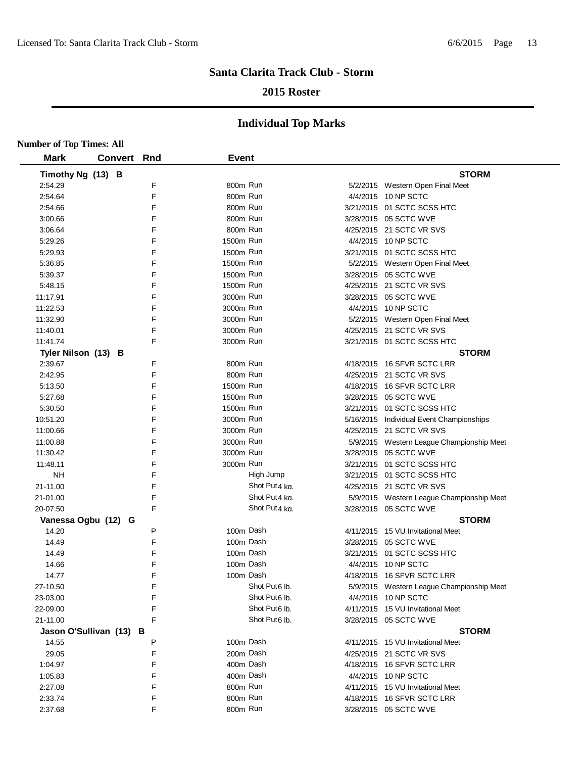### **2015 Roster**

| <b>Number of Top Times: All</b> |                |     |              |                           |                                           |
|---------------------------------|----------------|-----|--------------|---------------------------|-------------------------------------------|
| <b>Mark</b>                     | <b>Convert</b> | Rnd | <b>Event</b> |                           |                                           |
| Timothy Ng (13) B               |                |     |              |                           | <b>STORM</b>                              |
| 2:54.29                         |                | F   | 800m Run     |                           | 5/2/2015 Western Open Final Meet          |
| 2:54.64                         |                | F   | 800m Run     |                           | 4/4/2015 10 NP SCTC                       |
| 2:54.66                         |                | F   | 800m Run     |                           | 3/21/2015 01 SCTC SCSS HTC                |
| 3:00.66                         |                | F   | 800m Run     |                           | 3/28/2015 05 SCTC WVE                     |
| 3:06.64                         |                | F   | 800m Run     |                           | 4/25/2015 21 SCTC VR SVS                  |
| 5:29.26                         |                | F   | 1500m Run    |                           | 4/4/2015 10 NP SCTC                       |
| 5:29.93                         |                | F   | 1500m Run    |                           | 3/21/2015 01 SCTC SCSS HTC                |
| 5:36.85                         |                | F   | 1500m Run    |                           | 5/2/2015 Western Open Final Meet          |
| 5:39.37                         |                | F   | 1500m Run    |                           | 3/28/2015 05 SCTC WVE                     |
| 5:48.15                         |                | F   | 1500m Run    |                           | 4/25/2015 21 SCTC VR SVS                  |
| 11:17.91                        |                | F   | 3000m Run    |                           | 3/28/2015 05 SCTC WVE                     |
| 11:22.53                        |                | F   | 3000m Run    |                           | 4/4/2015 10 NP SCTC                       |
| 11:32.90                        |                | F   | 3000m Run    |                           | 5/2/2015 Western Open Final Meet          |
| 11:40.01                        |                | F   | 3000m Run    |                           | 4/25/2015 21 SCTC VR SVS                  |
| 11:41.74                        |                | F   | 3000m Run    |                           | 3/21/2015 01 SCTC SCSS HTC                |
| Tyler Nilson (13) B             |                |     |              |                           | <b>STORM</b>                              |
| 2:39.67                         |                | F   | 800m Run     |                           | 4/18/2015 16 SFVR SCTC LRR                |
| 2:42.95                         |                | F   | 800m Run     |                           | 4/25/2015 21 SCTC VR SVS                  |
| 5:13.50                         |                | F   | 1500m Run    |                           | 4/18/2015 16 SFVR SCTC LRR                |
| 5:27.68                         |                | F   | 1500m Run    |                           | 3/28/2015 05 SCTC WVE                     |
| 5:30.50                         |                | F   | 1500m Run    |                           | 3/21/2015 01 SCTC SCSS HTC                |
| 10:51.20                        |                | F   | 3000m Run    |                           | 5/16/2015 Individual Event Championships  |
| 11:00.66                        |                | F   | 3000m Run    |                           | 4/25/2015 21 SCTC VR SVS                  |
| 11:00.88                        |                | F   | 3000m Run    |                           | 5/9/2015 Western League Championship Meet |
| 11:30.42                        |                | F   | 3000m Run    |                           | 3/28/2015 05 SCTC WVE                     |
| 11:48.11                        |                | F   | 3000m Run    |                           | 3/21/2015 01 SCTC SCSS HTC                |
| <b>NH</b>                       |                | F   |              | High Jump                 | 3/21/2015 01 SCTC SCSS HTC                |
| 21-11.00                        |                | F   |              | Shot Put4 kg.             | 4/25/2015 21 SCTC VR SVS                  |
| 21-01.00                        |                | F   |              | Shot Put4 kg.             | 5/9/2015 Western League Championship Meet |
| 20-07.50                        |                | F   |              | Shot Put4 kg.             | 3/28/2015 05 SCTC WVE                     |
| Vanessa Ogbu (12) G             |                |     |              |                           | <b>STORM</b>                              |
| 14.20                           |                | P   | 100m Dash    |                           | 4/11/2015 15 VU Invitational Meet         |
| 14.49                           |                | F   | 100m Dash    |                           | 3/28/2015 05 SCTC WVE                     |
| 14.49                           |                | F   |              | 100m Dash                 | 3/21/2015 01 SCTC SCSS HTC                |
| 14.66                           |                | F   |              | 100m Dash                 | 4/4/2015 10 NP SCTC                       |
| 14.77                           |                | F   |              | 100m Dash                 | 4/18/2015 16 SFVR SCTC LRR                |
| 27-10.50                        |                | F   |              | Shot Put <sub>6</sub> lb. | 5/9/2015 Western League Championship Meet |
| 23-03.00                        |                | F   |              | Shot Put <sub>6</sub> lb. | 4/4/2015 10 NP SCTC                       |
| 22-09.00                        |                | F   |              | Shot Put6 lb.             | 4/11/2015 15 VU Invitational Meet         |
| 21-11.00                        |                | F   |              | Shot Put <sub>6</sub> lb. | 3/28/2015 05 SCTC WVE                     |
| Jason O'Sullivan (13) B         |                |     |              |                           | <b>STORM</b>                              |
| 14.55                           |                | P   | 100m Dash    |                           | 4/11/2015 15 VU Invitational Meet         |
| 29.05                           |                | F   | 200m Dash    |                           | 4/25/2015 21 SCTC VR SVS                  |
| 1:04.97                         |                | F   | 400m Dash    |                           | 4/18/2015 16 SFVR SCTC LRR                |
| 1:05.83                         |                | F   | 400m Dash    |                           | 4/4/2015 10 NP SCTC                       |
| 2:27.08                         |                | F   | 800m Run     |                           | 4/11/2015 15 VU Invitational Meet         |
| 2:33.74                         |                | F   | 800m Run     |                           | 4/18/2015 16 SFVR SCTC LRR                |
| 2:37.68                         |                | F   | 800m Run     |                           | 3/28/2015 05 SCTC WVE                     |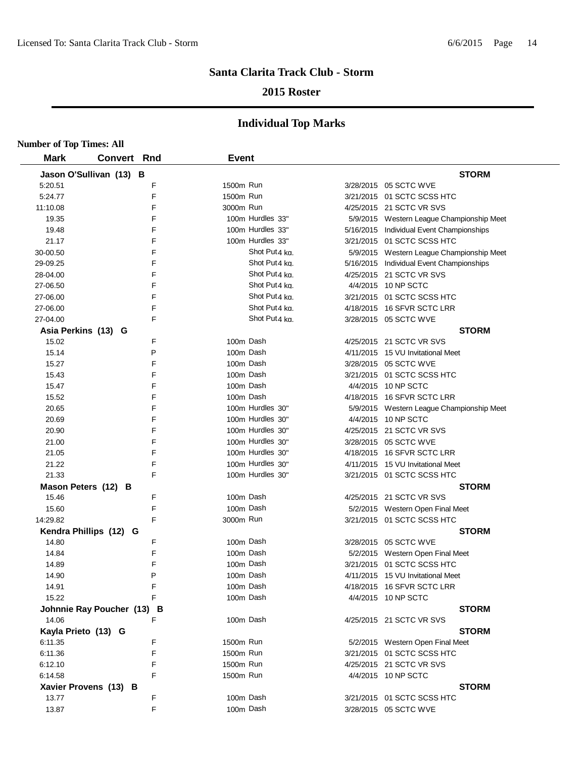### **2015 Roster**

| <b>Number of Top Times: All</b> |                            |   |                        |                           |                                                                |
|---------------------------------|----------------------------|---|------------------------|---------------------------|----------------------------------------------------------------|
| <b>Mark</b>                     | <b>Convert Rnd</b>         |   | <b>Event</b>           |                           |                                                                |
|                                 | Jason O'Sullivan (13) B    |   |                        |                           | <b>STORM</b>                                                   |
| 5:20.51                         |                            | F | 1500m Run              |                           | 3/28/2015 05 SCTC WVE                                          |
| 5:24.77                         |                            | E | 1500m Run              |                           | 3/21/2015 01 SCTC SCSS HTC                                     |
| 11:10.08                        |                            | F | 3000m Run              |                           | 4/25/2015 21 SCTC VR SVS                                       |
| 19.35                           |                            | F |                        | 100m Hurdles 33"          | 5/9/2015 Western League Championship Meet                      |
| 19.48                           |                            | F |                        | 100m Hurdles 33"          | 5/16/2015 Individual Event Championships                       |
| 21.17                           |                            | F |                        | 100m Hurdles 33"          | 3/21/2015 01 SCTC SCSS HTC                                     |
| 30-00.50                        |                            | F |                        | Shot Put4 kg.             | 5/9/2015 Western League Championship Meet                      |
| 29-09.25                        |                            | F |                        | Shot Put4 kg.             | 5/16/2015 Individual Event Championships                       |
| 28-04.00                        |                            | F |                        | Shot Put <sub>4</sub> kg. | 4/25/2015 21 SCTC VR SVS                                       |
| 27-06.50                        |                            | F |                        | Shot Put4 kg.             | 4/4/2015 10 NP SCTC                                            |
| 27-06.00                        |                            | F |                        | Shot Put4 kg.             | 3/21/2015 01 SCTC SCSS HTC                                     |
| 27-06.00                        |                            | F |                        | Shot Put4 kg.             | 4/18/2015 16 SFVR SCTC LRR                                     |
| 27-04.00                        |                            | F |                        | Shot Put4 kg.             | 3/28/2015 05 SCTC WVE                                          |
| Asia Perkins (13) G             |                            |   |                        |                           | <b>STORM</b>                                                   |
| 15.02                           |                            | F |                        | 100m Dash                 | 4/25/2015 21 SCTC VR SVS                                       |
| 15.14                           |                            | P |                        | 100m Dash                 | 4/11/2015 15 VU Invitational Meet                              |
| 15.27                           |                            | F |                        | 100m Dash                 | 3/28/2015 05 SCTC WVE                                          |
| 15.43                           |                            | F |                        | 100m Dash                 | 3/21/2015 01 SCTC SCSS HTC                                     |
| 15.47                           |                            | F |                        | 100m Dash                 | 4/4/2015 10 NP SCTC                                            |
| 15.52                           |                            | F |                        | 100m Dash                 | 4/18/2015 16 SFVR SCTC LRR                                     |
| 20.65                           |                            | F |                        | 100m Hurdles 30"          | 5/9/2015 Western League Championship Meet                      |
| 20.69                           |                            | F |                        | 100m Hurdles 30"          | 4/4/2015 10 NP SCTC                                            |
| 20.90                           |                            | F |                        | 100m Hurdles 30"          | 4/25/2015 21 SCTC VR SVS                                       |
| 21.00                           |                            | F |                        | 100m Hurdles 30"          | 3/28/2015 05 SCTC WVE                                          |
| 21.05                           |                            | F |                        | 100m Hurdles 30"          | 4/18/2015 16 SFVR SCTC LRR                                     |
| 21.22                           |                            | F |                        | 100m Hurdles 30"          | 4/11/2015 15 VU Invitational Meet                              |
| 21.33                           |                            | F |                        | 100m Hurdles 30"          | 3/21/2015 01 SCTC SCSS HTC                                     |
|                                 | Mason Peters (12) B        |   |                        |                           | <b>STORM</b>                                                   |
| 15.46                           |                            | F |                        | 100m Dash                 | 4/25/2015 21 SCTC VR SVS                                       |
| 15.60                           |                            | F |                        | 100m Dash                 | 5/2/2015 Western Open Final Meet                               |
| 14:29.82                        |                            | F | 3000m Run              |                           | 3/21/2015 01 SCTC SCSS HTC                                     |
|                                 | Kendra Phillips (12) G     |   |                        |                           | <b>STORM</b>                                                   |
| 14.80                           |                            | F |                        | 100m Dash                 | 3/28/2015 05 SCTC WVE                                          |
| 14.84                           |                            | F |                        | 100m Dash                 | 5/2/2015 Western Open Final Meet                               |
| 14.89                           |                            | F |                        | 100m Dash                 | 3/21/2015 01 SCTC SCSS HTC                                     |
| 14.90                           |                            | P |                        | 100m Dash                 | 4/11/2015 15 VU Invitational Meet                              |
| 14.91                           |                            | F |                        | 100m Dash                 | 4/18/2015 16 SFVR SCTC LRR                                     |
| 15.22                           |                            | F |                        | 100m Dash                 | 4/4/2015 10 NP SCTC                                            |
|                                 | Johnnie Ray Poucher (13) B | F |                        |                           | <b>STORM</b>                                                   |
| 14.06                           |                            |   |                        | 100m Dash                 | 4/25/2015 21 SCTC VR SVS                                       |
| Kayla Prieto (13) G             |                            | F |                        |                           | <b>STORM</b>                                                   |
| 6:11.35                         |                            | F | 1500m Run<br>1500m Run |                           | 5/2/2015 Western Open Final Meet<br>3/21/2015 01 SCTC SCSS HTC |
| 6:11.36<br>6:12.10              |                            | F | 1500m Run              |                           | 4/25/2015 21 SCTC VR SVS                                       |
| 6:14.58                         |                            | F | 1500m Run              |                           | 4/4/2015 10 NP SCTC                                            |
|                                 | Xavier Provens (13) B      |   |                        |                           | <b>STORM</b>                                                   |
| 13.77                           |                            | F |                        | 100m Dash                 | 3/21/2015 01 SCTC SCSS HTC                                     |
| 13.87                           |                            | F |                        | 100m Dash                 | 3/28/2015 05 SCTC WVE                                          |
|                                 |                            |   |                        |                           |                                                                |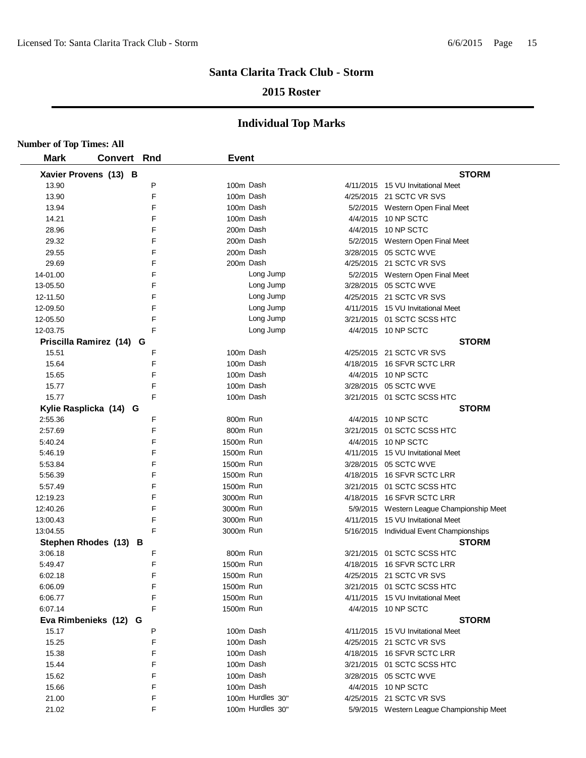### **2015 Roster**

| <b>Number of Top Times: All</b> |                          |   |              |                  |                                           |
|---------------------------------|--------------------------|---|--------------|------------------|-------------------------------------------|
| <b>Mark</b>                     | Convert Rnd              |   | <b>Event</b> |                  |                                           |
|                                 | Xavier Provens (13) B    |   |              |                  | <b>STORM</b>                              |
| 13.90                           |                          | P |              | 100m Dash        | 4/11/2015 15 VU Invitational Meet         |
| 13.90                           |                          | F |              | 100m Dash        | 4/25/2015 21 SCTC VR SVS                  |
| 13.94                           |                          | F |              | 100m Dash        | 5/2/2015 Western Open Final Meet          |
| 14.21                           |                          | F |              | 100m Dash        | 4/4/2015 10 NP SCTC                       |
| 28.96                           |                          | F | 200m Dash    |                  | 4/4/2015 10 NP SCTC                       |
| 29.32                           |                          | F | 200m Dash    |                  | 5/2/2015 Western Open Final Meet          |
| 29.55                           |                          | F | 200m Dash    |                  | 3/28/2015 05 SCTC WVE                     |
| 29.69                           |                          | F | 200m Dash    |                  | 4/25/2015 21 SCTC VR SVS                  |
| 14-01.00                        |                          | F |              | Long Jump        | 5/2/2015 Western Open Final Meet          |
| 13-05.50                        |                          | F |              | Long Jump        | 3/28/2015 05 SCTC WVE                     |
| 12-11.50                        |                          | F |              | Long Jump        | 4/25/2015 21 SCTC VR SVS                  |
| 12-09.50                        |                          | F |              | Long Jump        | 4/11/2015 15 VU Invitational Meet         |
| 12-05.50                        |                          | F |              | Long Jump        | 3/21/2015 01 SCTC SCSS HTC                |
| 12-03.75                        |                          | F |              | Long Jump        | 4/4/2015 10 NP SCTC                       |
|                                 | Priscilla Ramirez (14) G |   |              |                  | <b>STORM</b>                              |
| 15.51                           |                          | F | 100m Dash    |                  | 4/25/2015 21 SCTC VR SVS                  |
| 15.64                           |                          | F | 100m Dash    |                  | 4/18/2015 16 SFVR SCTC LRR                |
| 15.65                           |                          | F |              | 100m Dash        | 4/4/2015 10 NP SCTC                       |
| 15.77                           |                          | F |              | 100m Dash        | 3/28/2015 05 SCTC WVE                     |
| 15.77                           |                          | F |              | 100m Dash        | 3/21/2015 01 SCTC SCSS HTC                |
|                                 | Kylie Rasplicka (14) G   |   |              |                  | <b>STORM</b>                              |
| 2:55.36                         |                          | F | 800m Run     |                  | 4/4/2015 10 NP SCTC                       |
| 2:57.69                         |                          | F | 800m Run     |                  | 3/21/2015 01 SCTC SCSS HTC                |
| 5:40.24                         |                          | F | 1500m Run    |                  | 4/4/2015 10 NP SCTC                       |
| 5:46.19                         |                          | F | 1500m Run    |                  | 4/11/2015 15 VU Invitational Meet         |
| 5:53.84                         |                          | F | 1500m Run    |                  | 3/28/2015 05 SCTC WVE                     |
| 5:56.39                         |                          | F | 1500m Run    |                  | 4/18/2015 16 SFVR SCTC LRR                |
| 5:57.49                         |                          | F | 1500m Run    |                  | 3/21/2015 01 SCTC SCSS HTC                |
| 12:19.23                        |                          | F | 3000m Run    |                  | 4/18/2015 16 SFVR SCTC LRR                |
| 12:40.26                        |                          | F | 3000m Run    |                  | 5/9/2015 Western League Championship Meet |
| 13:00.43                        |                          | F | 3000m Run    |                  | 4/11/2015 15 VU Invitational Meet         |
| 13:04.55                        |                          | F | 3000m Run    |                  | 5/16/2015 Individual Event Championships  |
|                                 | Stephen Rhodes (13) B    |   |              |                  | <b>STORM</b>                              |
| 3:06.18                         |                          | F | 800m Run     |                  | 3/21/2015 01 SCTC SCSS HTC                |
| 5:49.47                         |                          | F | 1500m Run    |                  | 4/18/2015 16 SFVR SCTC LRR                |
| 6:02.18                         |                          | F | 1500m Run    |                  | 4/25/2015 21 SCTC VR SVS                  |
| 6:06.09                         |                          | F | 1500m Run    |                  | 3/21/2015 01 SCTC SCSS HTC                |
| 6:06.77                         |                          | F | 1500m Run    |                  | 4/11/2015 15 VU Invitational Meet         |
| 6:07.14                         |                          | F | 1500m Run    |                  | 4/4/2015 10 NP SCTC                       |
|                                 | Eva Rimbenieks (12)<br>G |   |              |                  | <b>STORM</b>                              |
| 15.17                           |                          | P | 100m Dash    |                  | 4/11/2015 15 VU Invitational Meet         |
| 15.25                           |                          | F |              | 100m Dash        | 4/25/2015 21 SCTC VR SVS                  |
| 15.38                           |                          | F |              | 100m Dash        | 4/18/2015 16 SFVR SCTC LRR                |
| 15.44                           |                          | F |              | 100m Dash        | 3/21/2015 01 SCTC SCSS HTC                |
| 15.62                           |                          | F |              | 100m Dash        | 3/28/2015 05 SCTC WVE                     |
| 15.66                           |                          | F |              | 100m Dash        | 4/4/2015 10 NP SCTC                       |
| 21.00                           |                          | F |              | 100m Hurdles 30" | 4/25/2015 21 SCTC VR SVS                  |
| 21.02                           |                          | F |              | 100m Hurdles 30" | 5/9/2015 Western League Championship Meet |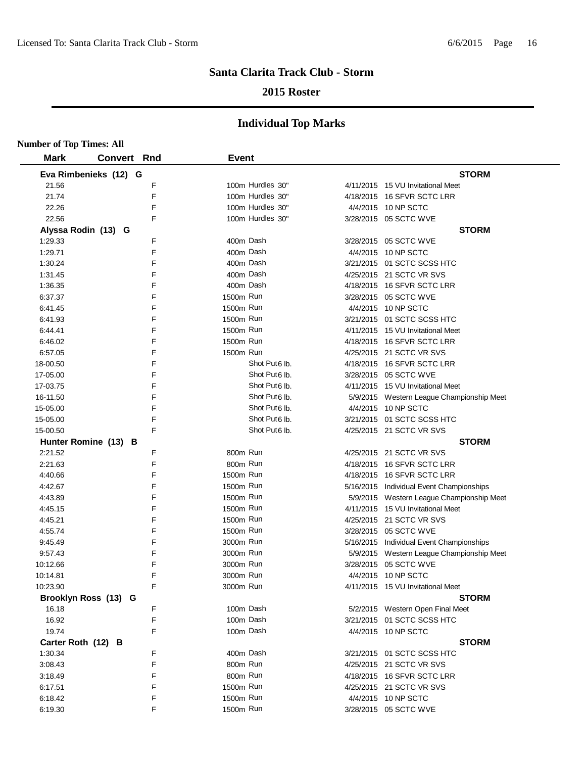### **2015 Roster**

| <b>Number of Top Times: All</b> |                       |   |              |                           |                                           |
|---------------------------------|-----------------------|---|--------------|---------------------------|-------------------------------------------|
| <b>Mark</b>                     | <b>Convert Rnd</b>    |   | <b>Event</b> |                           |                                           |
|                                 | Eva Rimbenieks (12) G |   |              |                           | <b>STORM</b>                              |
| 21.56                           |                       | F |              | 100m Hurdles 30"          | 4/11/2015 15 VU Invitational Meet         |
| 21.74                           |                       | F |              | 100m Hurdles 30"          | 4/18/2015 16 SFVR SCTC LRR                |
| 22.26                           |                       | F |              | 100m Hurdles 30"          | 4/4/2015 10 NP SCTC                       |
| 22.56                           |                       | F |              | 100m Hurdles 30"          | 3/28/2015 05 SCTC WVE                     |
| Alyssa Rodin (13) G             |                       |   |              |                           | <b>STORM</b>                              |
| 1:29.33                         |                       | F | 400m Dash    |                           | 3/28/2015 05 SCTC WVE                     |
| 1:29.71                         |                       | F | 400m Dash    |                           | 4/4/2015 10 NP SCTC                       |
| 1:30.24                         |                       | F | 400m Dash    |                           | 3/21/2015 01 SCTC SCSS HTC                |
| 1:31.45                         |                       | F | 400m Dash    |                           | 4/25/2015 21 SCTC VR SVS                  |
| 1:36.35                         |                       | F | 400m Dash    |                           | 4/18/2015 16 SFVR SCTC LRR                |
| 6:37.37                         |                       | F | 1500m Run    |                           | 3/28/2015 05 SCTC WVE                     |
| 6:41.45                         |                       | F | 1500m Run    |                           | 4/4/2015 10 NP SCTC                       |
| 6:41.93                         |                       | F | 1500m Run    |                           | 3/21/2015 01 SCTC SCSS HTC                |
| 6:44.41                         |                       | F | 1500m Run    |                           | 4/11/2015 15 VU Invitational Meet         |
| 6:46.02                         |                       | F | 1500m Run    |                           | 4/18/2015 16 SFVR SCTC LRR                |
| 6:57.05                         |                       | F | 1500m Run    |                           | 4/25/2015 21 SCTC VR SVS                  |
| 18-00.50                        |                       | F |              | Shot Put6 lb.             | 4/18/2015 16 SFVR SCTC LRR                |
| 17-05.00                        |                       | F |              | Shot Put <sub>6</sub> lb. | 3/28/2015 05 SCTC WVE                     |
| 17-03.75                        |                       | F |              | Shot Put <sub>6</sub> lb. | 4/11/2015 15 VU Invitational Meet         |
| 16-11.50                        |                       | F |              | Shot Put <sub>6</sub> lb. | 5/9/2015 Western League Championship Meet |
| 15-05.00                        |                       | F |              | Shot Put <sub>6</sub> lb. | 4/4/2015 10 NP SCTC                       |
| 15-05.00                        |                       | F |              | Shot Put <sub>6</sub> lb. | 3/21/2015 01 SCTC SCSS HTC                |
| 15-00.50                        |                       | F |              | Shot Put <sub>6</sub> lb. | 4/25/2015 21 SCTC VR SVS                  |
|                                 | Hunter Romine (13) B  |   |              |                           | <b>STORM</b>                              |
| 2:21.52                         |                       | F | 800m Run     |                           | 4/25/2015 21 SCTC VR SVS                  |
| 2:21.63                         |                       | F | 800m Run     |                           | 4/18/2015 16 SFVR SCTC LRR                |
| 4:40.66                         |                       | F | 1500m Run    |                           | 4/18/2015 16 SFVR SCTC LRR                |
| 4:42.67                         |                       | F | 1500m Run    |                           | 5/16/2015 Individual Event Championships  |
| 4:43.89                         |                       | F | 1500m Run    |                           | 5/9/2015 Western League Championship Meet |
| 4:45.15                         |                       | F | 1500m Run    |                           | 4/11/2015 15 VU Invitational Meet         |
| 4:45.21                         |                       | F | 1500m Run    |                           | 4/25/2015 21 SCTC VR SVS                  |
| 4:55.74                         |                       | F | 1500m Run    |                           | 3/28/2015 05 SCTC WVE                     |
| 9:45.49                         |                       | F | 3000m Run    |                           | 5/16/2015 Individual Event Championships  |
| 9:57.43                         |                       | F | 3000m Run    |                           | 5/9/2015 Western League Championship Meet |
| 10:12.66                        |                       | F | 3000m Run    |                           | 3/28/2015 05 SCTC WVE                     |
| 10:14.81                        |                       | F | 3000m Run    |                           | 4/4/2015 10 NP SCTC                       |
| 10:23.90                        |                       | F | 3000m Run    |                           | 4/11/2015 15 VU Invitational Meet         |
|                                 | Brooklyn Ross (13) G  |   |              |                           | <b>STORM</b>                              |
| 16.18                           |                       | F | 100m Dash    |                           | 5/2/2015 Western Open Final Meet          |
| 16.92                           |                       | F | 100m Dash    |                           | 3/21/2015 01 SCTC SCSS HTC                |
| 19.74                           |                       | F | 100m Dash    |                           | 4/4/2015 10 NP SCTC                       |
| Carter Roth (12) B              |                       |   |              |                           | <b>STORM</b>                              |
| 1:30.34                         |                       | F | 400m Dash    |                           | 3/21/2015 01 SCTC SCSS HTC                |
| 3:08.43                         |                       | F | 800m Run     |                           | 4/25/2015 21 SCTC VR SVS                  |
| 3:18.49                         |                       | F | 800m Run     |                           | 4/18/2015 16 SFVR SCTC LRR                |
| 6:17.51                         |                       | F | 1500m Run    |                           | 4/25/2015 21 SCTC VR SVS                  |
| 6:18.42                         |                       | F | 1500m Run    |                           | 4/4/2015 10 NP SCTC                       |
| 6:19.30                         |                       | F | 1500m Run    |                           | 3/28/2015 05 SCTC WVE                     |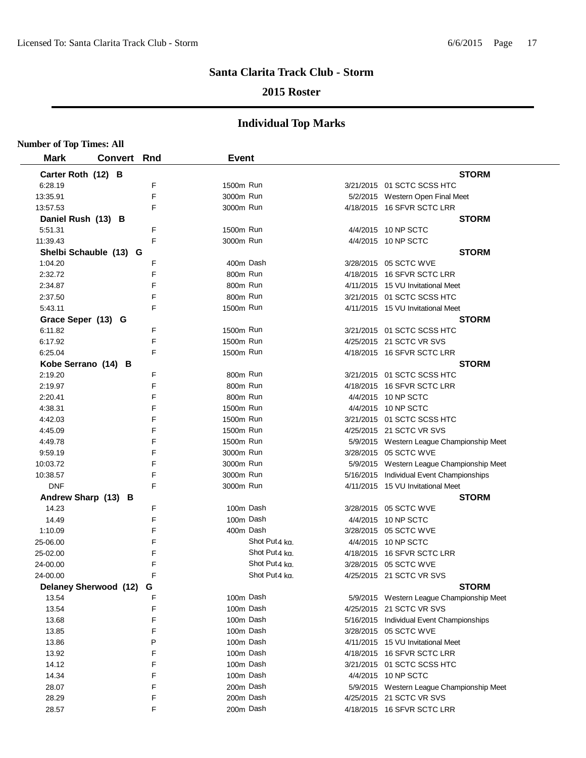### **2015 Roster**

| <b>Number of Top Times: All</b> |                        |   |           |               |                                           |
|---------------------------------|------------------------|---|-----------|---------------|-------------------------------------------|
| <b>Mark</b>                     | Convert Rnd            |   | Event     |               |                                           |
| Carter Roth (12) B              |                        |   |           |               | <b>STORM</b>                              |
| 6:28.19                         |                        | F | 1500m Run |               | 3/21/2015 01 SCTC SCSS HTC                |
| 13:35.91                        |                        | F | 3000m Run |               | 5/2/2015 Western Open Final Meet          |
| 13:57.53                        |                        | F | 3000m Run |               | 4/18/2015 16 SFVR SCTC LRR                |
| Daniel Rush (13) B              |                        |   |           |               | <b>STORM</b>                              |
| 5:51.31                         |                        | F | 1500m Run |               | 4/4/2015 10 NP SCTC                       |
| 11:39.43                        |                        | F | 3000m Run |               | 4/4/2015 10 NP SCTC                       |
|                                 | Shelbi Schauble (13) G |   |           |               | <b>STORM</b>                              |
| 1:04.20                         |                        | F | 400m Dash |               | 3/28/2015 05 SCTC WVE                     |
| 2:32.72                         |                        | F | 800m Run  |               | 4/18/2015 16 SFVR SCTC LRR                |
| 2:34.87                         |                        | F | 800m Run  |               | 4/11/2015 15 VU Invitational Meet         |
| 2:37.50                         |                        | F | 800m Run  |               | 3/21/2015  01 SCTC SCSS HTC               |
| 5:43.11                         |                        | F | 1500m Run |               | 4/11/2015 15 VU Invitational Meet         |
| Grace Seper (13) G              |                        |   |           |               | <b>STORM</b>                              |
| 6:11.82                         |                        | F | 1500m Run |               | 3/21/2015 01 SCTC SCSS HTC                |
| 6:17.92                         |                        | F | 1500m Run |               | 4/25/2015 21 SCTC VR SVS                  |
| 6:25.04                         |                        | F | 1500m Run |               | 4/18/2015 16 SFVR SCTC LRR                |
| Kobe Serrano (14)               | в                      |   |           |               | <b>STORM</b>                              |
| 2:19.20                         |                        | F | 800m Run  |               | 3/21/2015  01 SCTC SCSS HTC               |
| 2:19.97                         |                        | F | 800m Run  |               | 4/18/2015 16 SFVR SCTC LRR                |
| 2:20.41                         |                        | F | 800m Run  |               | 4/4/2015 10 NP SCTC                       |
| 4:38.31                         |                        | F | 1500m Run |               | 4/4/2015 10 NP SCTC                       |
| 4:42.03                         |                        | F | 1500m Run |               | 3/21/2015 01 SCTC SCSS HTC                |
| 4:45.09                         |                        | F | 1500m Run |               | 4/25/2015 21 SCTC VR SVS                  |
| 4:49.78                         |                        | F | 1500m Run |               | 5/9/2015 Western League Championship Meet |
| 9:59.19                         |                        | F | 3000m Run |               | 3/28/2015 05 SCTC WVE                     |
| 10:03.72                        |                        | F | 3000m Run |               | 5/9/2015 Western League Championship Meet |
| 10:38.57                        |                        | F | 3000m Run |               | 5/16/2015 Individual Event Championships  |
| <b>DNF</b>                      |                        | F | 3000m Run |               | 4/11/2015 15 VU Invitational Meet         |
| Andrew Sharp (13) B             |                        |   |           |               | <b>STORM</b>                              |
| 14.23                           |                        | F |           | 100m Dash     | 3/28/2015 05 SCTC WVE                     |
| 14.49                           |                        | F |           | 100m Dash     | 4/4/2015 10 NP SCTC                       |
| 1:10.09                         |                        | F |           | 400m Dash     | 3/28/2015 05 SCTC WVE                     |
| 25-06.00                        |                        | F |           | Shot Put4 kg. | 4/4/2015 10 NP SCTC                       |
| 25-02.00                        |                        |   |           | Shot Put4 kg. | 4/18/2015 16 SFVR SCTC LRR                |
| 24-00.00                        |                        | F |           | Shot Put4 ka. | 3/28/2015  05 SCTC WVE                    |
| 24-00.00                        |                        | F |           | Shot Put4 ka. | 4/25/2015 21 SCTC VR SVS                  |
|                                 | Delaney Sherwood (12)  | G |           |               | <b>STORM</b>                              |
| 13.54                           |                        | F |           | 100m Dash     | 5/9/2015 Western League Championship Meet |
| 13.54                           |                        | F |           | 100m Dash     | 4/25/2015 21 SCTC VR SVS                  |
| 13.68                           |                        | F |           | 100m Dash     | 5/16/2015 Individual Event Championships  |
| 13.85                           |                        | F |           | 100m Dash     | 3/28/2015 05 SCTC WVE                     |
| 13.86                           |                        | P |           | 100m Dash     | 4/11/2015 15 VU Invitational Meet         |
| 13.92                           |                        | F |           | 100m Dash     | 4/18/2015 16 SFVR SCTC LRR                |
| 14.12                           |                        | F |           | 100m Dash     | 3/21/2015 01 SCTC SCSS HTC                |
| 14.34                           |                        | F |           | 100m Dash     | 4/4/2015 10 NP SCTC                       |
| 28.07                           |                        | F |           | 200m Dash     | 5/9/2015 Western League Championship Meet |
| 28.29                           |                        | F |           | 200m Dash     | 4/25/2015 21 SCTC VR SVS                  |
| 28.57                           |                        | F |           | 200m Dash     | 4/18/2015 16 SFVR SCTC LRR                |
|                                 |                        |   |           |               |                                           |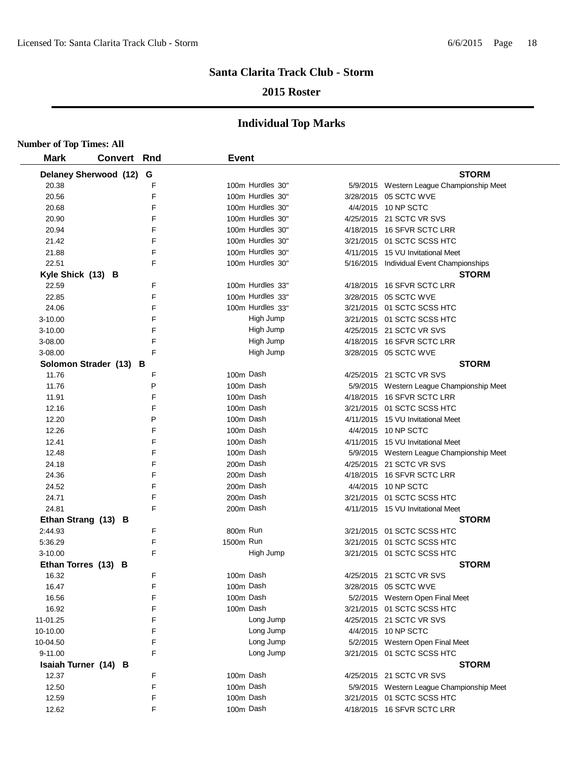### **2015 Roster**

| <b>Number of Top Times: All</b> |                        |   |              |                  |                                           |
|---------------------------------|------------------------|---|--------------|------------------|-------------------------------------------|
| <b>Mark</b>                     | <b>Convert Rnd</b>     |   | <b>Event</b> |                  |                                           |
|                                 | Delaney Sherwood (12)  | G |              |                  | <b>STORM</b>                              |
| 20.38                           |                        | F |              | 100m Hurdles 30" | 5/9/2015 Western League Championship Meet |
| 20.56                           |                        | F |              | 100m Hurdles 30" | 3/28/2015 05 SCTC WVE                     |
| 20.68                           |                        | F |              | 100m Hurdles 30" | 4/4/2015 10 NP SCTC                       |
| 20.90                           |                        | F |              | 100m Hurdles 30" | 4/25/2015 21 SCTC VR SVS                  |
| 20.94                           |                        | F |              | 100m Hurdles 30" | 4/18/2015 16 SFVR SCTC LRR                |
| 21.42                           |                        | F |              | 100m Hurdles 30" | 3/21/2015 01 SCTC SCSS HTC                |
| 21.88                           |                        | F |              | 100m Hurdles 30" | 4/11/2015 15 VU Invitational Meet         |
| 22.51                           |                        | E |              | 100m Hurdles 30" | 5/16/2015 Individual Event Championships  |
| Kyle Shick (13) B               |                        |   |              |                  | <b>STORM</b>                              |
| 22.59                           |                        | F |              | 100m Hurdles 33" | 4/18/2015 16 SFVR SCTC LRR                |
| 22.85                           |                        | F |              | 100m Hurdles 33" | 3/28/2015 05 SCTC WVE                     |
| 24.06                           |                        | F |              | 100m Hurdles 33" | 3/21/2015 01 SCTC SCSS HTC                |
| $3 - 10.00$                     |                        | F |              | High Jump        | 3/21/2015 01 SCTC SCSS HTC                |
| $3 - 10.00$                     |                        | F |              | High Jump        | 4/25/2015 21 SCTC VR SVS                  |
| 3-08.00                         |                        | F |              | High Jump        | 4/18/2015 16 SFVR SCTC LRR                |
| 3-08.00                         |                        | F |              | High Jump        | 3/28/2015 05 SCTC WVE                     |
|                                 | Solomon Strader (13) B |   |              |                  | <b>STORM</b>                              |
| 11.76                           |                        | F | 100m Dash    |                  | 4/25/2015 21 SCTC VR SVS                  |
| 11.76                           |                        | P | 100m Dash    |                  | 5/9/2015 Western League Championship Meet |
| 11.91                           |                        | F | 100m Dash    |                  | 4/18/2015 16 SFVR SCTC LRR                |
| 12.16                           |                        | F | 100m Dash    |                  | 3/21/2015 01 SCTC SCSS HTC                |
| 12.20                           |                        | P | 100m Dash    |                  | 4/11/2015 15 VU Invitational Meet         |
| 12.26                           |                        | F | 100m Dash    |                  | 4/4/2015 10 NP SCTC                       |
| 12.41                           |                        | F | 100m Dash    |                  | 4/11/2015 15 VU Invitational Meet         |
| 12.48                           |                        | F | 100m Dash    |                  | 5/9/2015 Western League Championship Meet |
| 24.18                           |                        | F | 200m Dash    |                  | 4/25/2015 21 SCTC VR SVS                  |
| 24.36                           |                        | E | 200m Dash    |                  | 4/18/2015 16 SFVR SCTC LRR                |
| 24.52                           |                        | F | 200m Dash    |                  | 4/4/2015 10 NP SCTC                       |
| 24.71                           |                        | F | 200m Dash    |                  | 3/21/2015 01 SCTC SCSS HTC                |
| 24.81                           |                        | F | 200m Dash    |                  | 4/11/2015 15 VU Invitational Meet         |
|                                 | Ethan Strang (13) B    |   |              |                  | <b>STORM</b>                              |
| 2:44.93                         |                        | F | 800m Run     |                  | 3/21/2015 01 SCTC SCSS HTC                |
| 5:36.29                         |                        | F | 1500m Run    |                  | 3/21/2015 01 SCTC SCSS HTC                |
| $3 - 10.00$                     |                        | F |              | High Jump        | 3/21/2015 01 SCTC SCSS HTC                |
|                                 | Ethan Torres (13) B    |   |              |                  | <b>STORM</b>                              |
| 16.32                           |                        | F | 100m Dash    |                  | 4/25/2015 21 SCTC VR SVS                  |
| 16.47                           |                        | F | 100m Dash    |                  | 3/28/2015 05 SCTC WVE                     |
| 16.56                           |                        | F | 100m Dash    |                  | 5/2/2015 Western Open Final Meet          |
| 16.92                           |                        | F | 100m Dash    |                  | 3/21/2015 01 SCTC SCSS HTC                |
| 11-01.25                        |                        | F |              | Long Jump        | 4/25/2015 21 SCTC VR SVS                  |
| 10-10.00                        |                        | F |              | Long Jump        | 4/4/2015 10 NP SCTC                       |
| 10-04.50                        |                        | F |              | Long Jump        | 5/2/2015 Western Open Final Meet          |
| 9-11.00                         |                        | F |              | Long Jump        | 3/21/2015 01 SCTC SCSS HTC                |
|                                 | Isaiah Turner (14) B   |   |              |                  | <b>STORM</b>                              |
| 12.37                           |                        | F | 100m Dash    |                  | 4/25/2015 21 SCTC VR SVS                  |
| 12.50                           |                        | F | 100m Dash    |                  | 5/9/2015 Western League Championship Meet |
| 12.59                           |                        | F | 100m Dash    |                  | 3/21/2015 01 SCTC SCSS HTC                |
| 12.62                           |                        | F | 100m Dash    |                  | 4/18/2015 16 SFVR SCTC LRR                |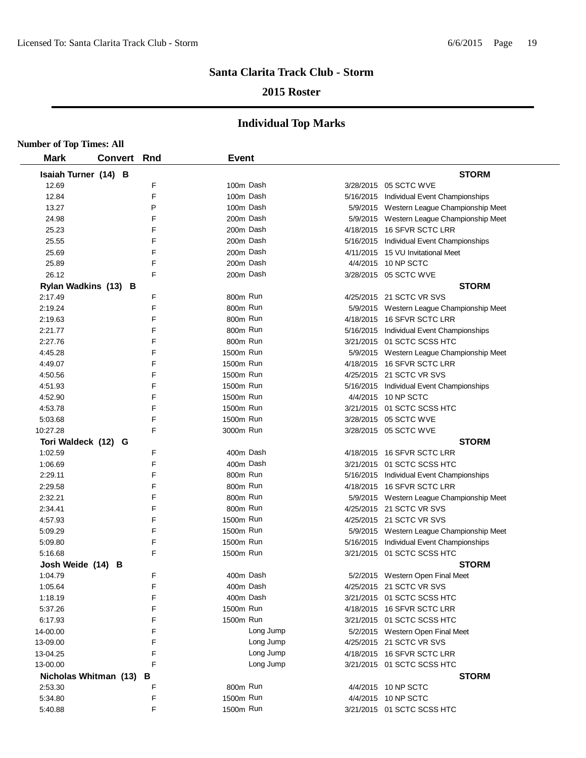### **2015 Roster**

| <b>Number of Top Times: All</b> |                |     |              |           |                                           |
|---------------------------------|----------------|-----|--------------|-----------|-------------------------------------------|
| <b>Mark</b>                     | <b>Convert</b> | Rnd | <b>Event</b> |           |                                           |
| Isaiah Turner (14) B            |                |     |              |           | <b>STORM</b>                              |
| 12.69                           |                | F   |              | 100m Dash | 3/28/2015 05 SCTC WVE                     |
| 12.84                           |                | F   |              | 100m Dash | 5/16/2015 Individual Event Championships  |
| 13.27                           |                | P   |              | 100m Dash | 5/9/2015 Western League Championship Meet |
| 24.98                           |                | F   |              | 200m Dash | 5/9/2015 Western League Championship Meet |
| 25.23                           |                | F   |              | 200m Dash | 4/18/2015 16 SFVR SCTC LRR                |
| 25.55                           |                | F   |              | 200m Dash | 5/16/2015 Individual Event Championships  |
| 25.69                           |                | F   |              | 200m Dash | 4/11/2015 15 VU Invitational Meet         |
| 25.89                           |                | F   |              | 200m Dash | 4/4/2015 10 NP SCTC                       |
| 26.12                           |                | F   |              | 200m Dash | 3/28/2015 05 SCTC WVE                     |
| Rylan Wadkins (13) B            |                |     |              |           | <b>STORM</b>                              |
| 2:17.49                         |                | F   | 800m Run     |           | 4/25/2015 21 SCTC VR SVS                  |
| 2:19.24                         |                | F   | 800m Run     |           | 5/9/2015 Western League Championship Meet |
| 2:19.63                         |                | F   | 800m Run     |           | 4/18/2015 16 SFVR SCTC LRR                |
| 2:21.77                         |                | F   | 800m Run     |           | 5/16/2015 Individual Event Championships  |
| 2:27.76                         |                | F   | 800m Run     |           | 3/21/2015 01 SCTC SCSS HTC                |
| 4:45.28                         |                | F   | 1500m Run    |           | 5/9/2015 Western League Championship Meet |
| 4:49.07                         |                | F   | 1500m Run    |           | 4/18/2015 16 SFVR SCTC LRR                |
| 4:50.56                         |                | F   | 1500m Run    |           | 4/25/2015 21 SCTC VR SVS                  |
| 4:51.93                         |                | F   | 1500m Run    |           | 5/16/2015 Individual Event Championships  |
| 4:52.90                         |                | F   | 1500m Run    |           | 4/4/2015 10 NP SCTC                       |
| 4:53.78                         |                | F   | 1500m Run    |           | 3/21/2015 01 SCTC SCSS HTC                |
| 5:03.68                         |                | F   | 1500m Run    |           | 3/28/2015 05 SCTC WVE                     |
| 10:27.28                        |                | F   | 3000m Run    |           | 3/28/2015 05 SCTC WVE                     |
| Tori Waldeck (12) G             |                |     |              |           | <b>STORM</b>                              |
| 1:02.59                         |                | F   |              | 400m Dash | 4/18/2015 16 SFVR SCTC LRR                |
| 1:06.69                         |                | F   |              | 400m Dash | 3/21/2015 01 SCTC SCSS HTC                |
| 2:29.11                         |                | F   | 800m Run     |           | 5/16/2015 Individual Event Championships  |
| 2:29.58                         |                | F   | 800m Run     |           | 4/18/2015 16 SFVR SCTC LRR                |
| 2:32.21                         |                | F   | 800m Run     |           | 5/9/2015 Western League Championship Meet |
| 2:34.41                         |                | F   | 800m Run     |           | 4/25/2015 21 SCTC VR SVS                  |
| 4:57.93                         |                | F   | 1500m Run    |           | 4/25/2015 21 SCTC VR SVS                  |
| 5:09.29                         |                | F   | 1500m Run    |           | 5/9/2015 Western League Championship Meet |
| 5:09.80                         |                | F   | 1500m Run    |           | 5/16/2015 Individual Event Championships  |
| 5:16.68                         |                | F   | 1500m Run    |           | 3/21/2015 01 SCTC SCSS HTC                |
| Josh Weide (14) B               |                |     |              |           | <b>STORM</b>                              |
| 1:04.79                         |                | F   |              | 400m Dash | 5/2/2015 Western Open Final Meet          |
| 1:05.64                         |                | F   |              | 400m Dash | 4/25/2015 21 SCTC VR SVS                  |
| 1:18.19                         |                | F   |              | 400m Dash | 3/21/2015 01 SCTC SCSS HTC                |
| 5:37.26                         |                | F   | 1500m Run    |           | 4/18/2015 16 SFVR SCTC LRR                |
| 6:17.93                         |                | F   | 1500m Run    |           | 3/21/2015 01 SCTC SCSS HTC                |
| 14-00.00                        |                | F   |              | Long Jump | 5/2/2015 Western Open Final Meet          |
| 13-09.00                        |                | F   |              | Long Jump | 4/25/2015 21 SCTC VR SVS                  |
| 13-04.25                        |                | F   |              | Long Jump | 4/18/2015 16 SFVR SCTC LRR                |
| 13-00.00                        |                | F   |              | Long Jump | 3/21/2015 01 SCTC SCSS HTC                |
| Nicholas Whitman (13)           |                | в   |              |           | <b>STORM</b>                              |
| 2:53.30                         |                | F   | 800m Run     |           | 4/4/2015 10 NP SCTC                       |
| 5:34.80                         |                | F   | 1500m Run    |           | 4/4/2015 10 NP SCTC                       |
| 5:40.88                         |                | F   | 1500m Run    |           | 3/21/2015 01 SCTC SCSS HTC                |